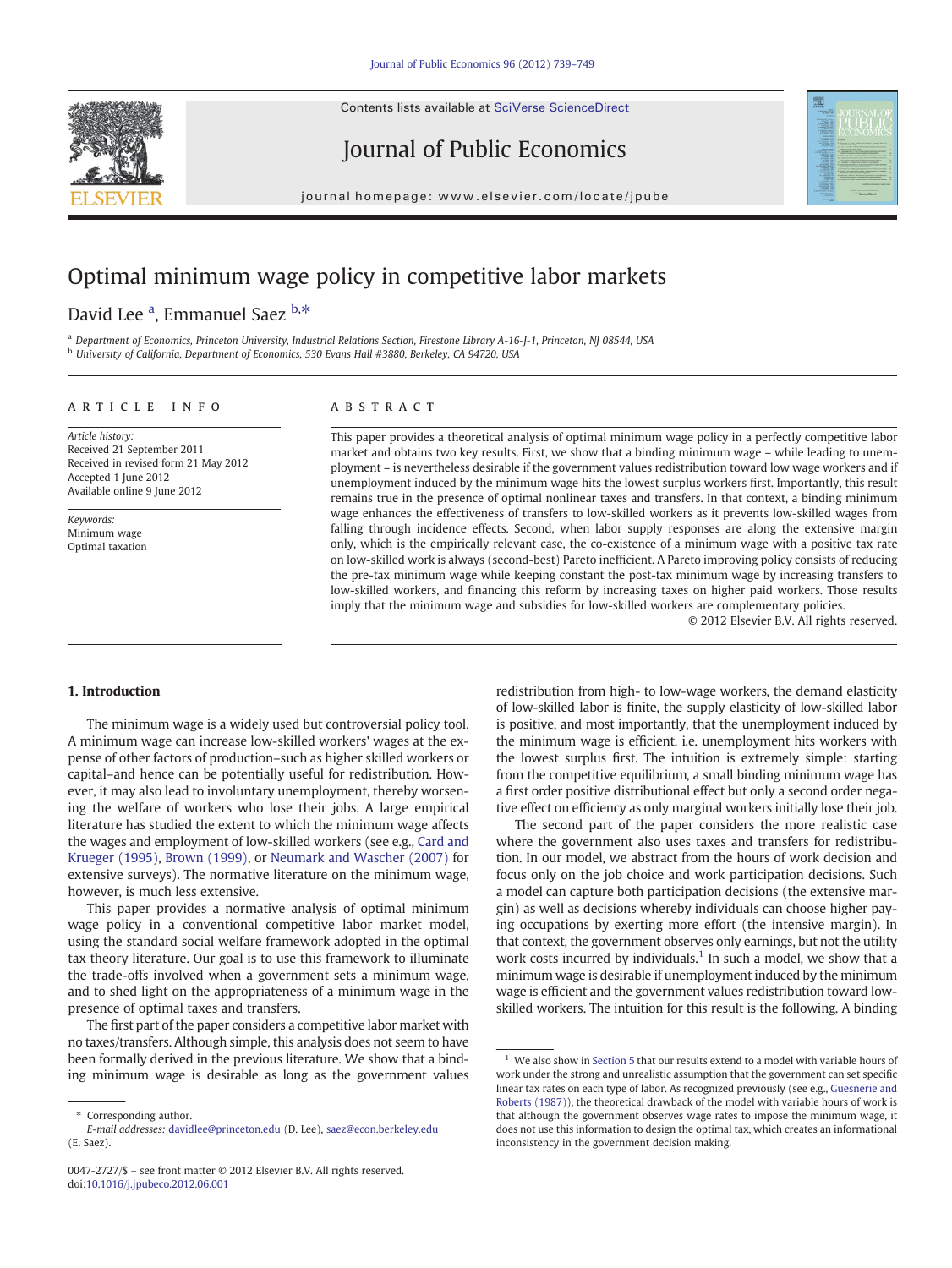Contents lists available at SciVerse ScienceDirect





journal homepage: www.elsevier.com/locate/jpube

# Optimal minimum wage policy in competitive labor markets

## David Lee <sup>a</sup>, Emmanuel Saez <sup>b,\*</sup>

a Department of Economics, Princeton University, Industrial Relations Section, Firestone Library A-16-J-1, Princeton, NJ 08544, USA <sup>b</sup> University of California, Department of Economics, 530 Evans Hall #3880, Berkeley, CA 94720, USA

#### article info abstract

Article history: Received 21 September 2011 Received in revised form 21 May 2012 Accepted 1 June 2012 Available online 9 June 2012

Keywords: Minimum wage Optimal taxation

This paper provides a theoretical analysis of optimal minimum wage policy in a perfectly competitive labor market and obtains two key results. First, we show that a binding minimum wage – while leading to unemployment – is nevertheless desirable if the government values redistribution toward low wage workers and if unemployment induced by the minimum wage hits the lowest surplus workers first. Importantly, this result remains true in the presence of optimal nonlinear taxes and transfers. In that context, a binding minimum wage enhances the effectiveness of transfers to low-skilled workers as it prevents low-skilled wages from falling through incidence effects. Second, when labor supply responses are along the extensive margin only, which is the empirically relevant case, the co-existence of a minimum wage with a positive tax rate on low-skilled work is always (second-best) Pareto inefficient. A Pareto improving policy consists of reducing the pre-tax minimum wage while keeping constant the post-tax minimum wage by increasing transfers to low-skilled workers, and financing this reform by increasing taxes on higher paid workers. Those results imply that the minimum wage and subsidies for low-skilled workers are complementary policies.

© 2012 Elsevier B.V. All rights reserved.

### 1. Introduction

The minimum wage is a widely used but controversial policy tool. A minimum wage can increase low-skilled workers' wages at the expense of other factors of production–such as higher skilled workers or capital–and hence can be potentially useful for redistribution. However, it may also lead to involuntary unemployment, thereby worsening the welfare of workers who lose their jobs. A large empirical literature has studied the extent to which the minimum wage affects the wages and employment of low-skilled workers (see e.g., [Card and](#page-10-0) [Krueger \(1995\)](#page-10-0), [Brown \(1999\)](#page-9-0), or [Neumark and Wascher \(2007\)](#page-10-0) for extensive surveys). The normative literature on the minimum wage, however, is much less extensive.

This paper provides a normative analysis of optimal minimum wage policy in a conventional competitive labor market model, using the standard social welfare framework adopted in the optimal tax theory literature. Our goal is to use this framework to illuminate the trade-offs involved when a government sets a minimum wage, and to shed light on the appropriateness of a minimum wage in the presence of optimal taxes and transfers.

The first part of the paper considers a competitive labor market with no taxes/transfers. Although simple, this analysis does not seem to have been formally derived in the previous literature. We show that a binding minimum wage is desirable as long as the government values

redistribution from high- to low-wage workers, the demand elasticity of low-skilled labor is finite, the supply elasticity of low-skilled labor is positive, and most importantly, that the unemployment induced by the minimum wage is efficient, i.e. unemployment hits workers with the lowest surplus first. The intuition is extremely simple: starting from the competitive equilibrium, a small binding minimum wage has a first order positive distributional effect but only a second order negative effect on efficiency as only marginal workers initially lose their job.

The second part of the paper considers the more realistic case where the government also uses taxes and transfers for redistribution. In our model, we abstract from the hours of work decision and focus only on the job choice and work participation decisions. Such a model can capture both participation decisions (the extensive margin) as well as decisions whereby individuals can choose higher paying occupations by exerting more effort (the intensive margin). In that context, the government observes only earnings, but not the utility work costs incurred by individuals.<sup>1</sup> In such a model, we show that a minimum wage is desirable if unemployment induced by the minimum wage is efficient and the government values redistribution toward lowskilled workers. The intuition for this result is the following. A binding

Corresponding author.

E-mail addresses: [davidlee@princeton.edu](mailto:davidlee@princeton.edu) (D. Lee), [saez@econ.berkeley.edu](mailto:saez@econ.berkeley.edu) (E. Saez).

<sup>0047-2727/\$</sup> – see front matter © 2012 Elsevier B.V. All rights reserved. doi:[10.1016/j.jpubeco.2012.06.001](http://dx.doi.org/10.1016/j.jpubeco.2012.06.001)

 $1$  We also show in [Section 5](#page-6-0) that our results extend to a model with variable hours of work under the strong and unrealistic assumption that the government can set specific linear tax rates on each type of labor. As recognized previously (see e.g., [Guesnerie and](#page-10-0) [Roberts \(1987\)\)](#page-10-0), the theoretical drawback of the model with variable hours of work is that although the government observes wage rates to impose the minimum wage, it does not use this information to design the optimal tax, which creates an informational inconsistency in the government decision making.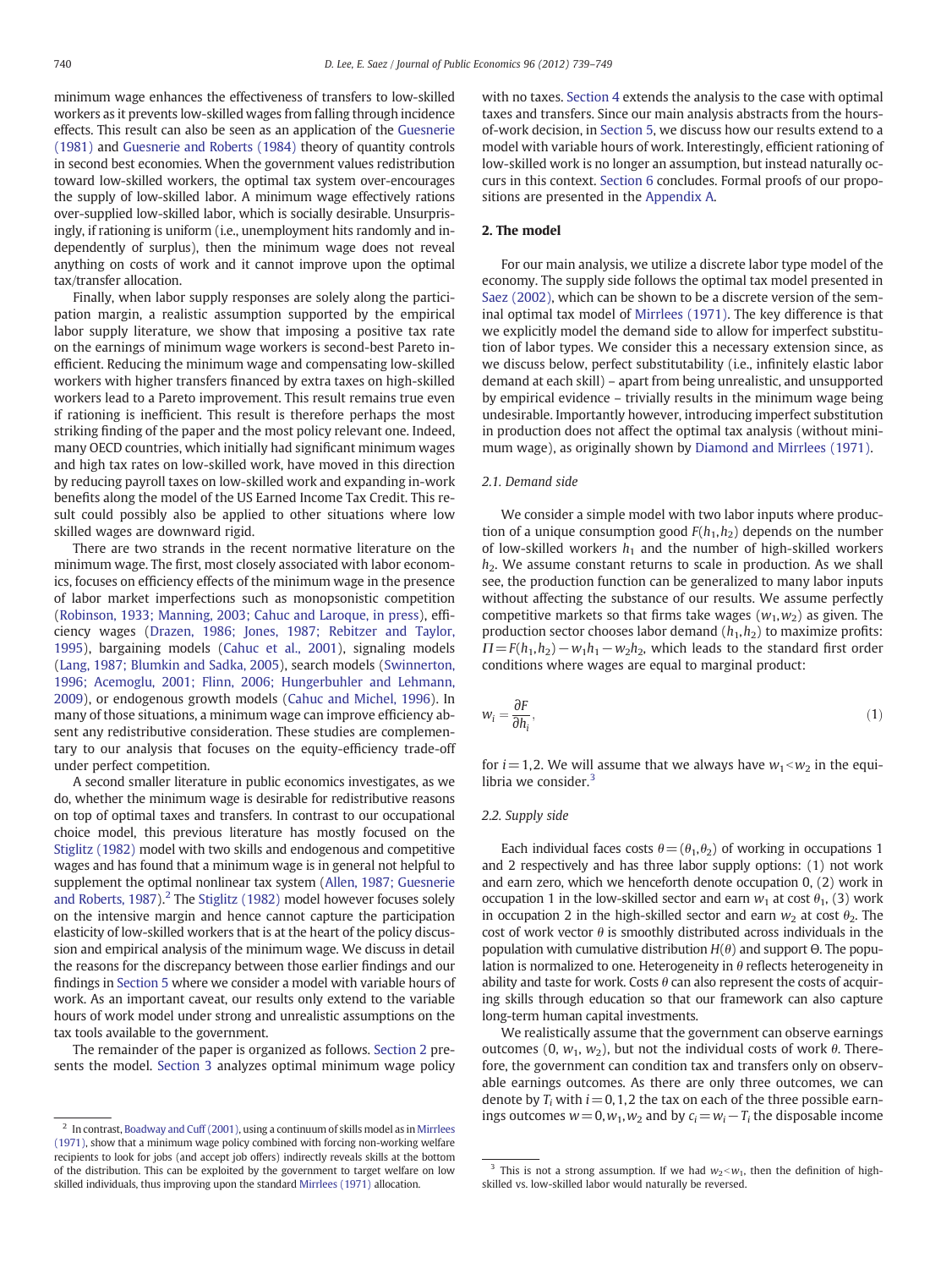<span id="page-1-0"></span>minimum wage enhances the effectiveness of transfers to low-skilled workers as it prevents low-skilled wages from falling through incidence effects. This result can also be seen as an application of the [Guesnerie](#page-10-0) [\(1981\)](#page-10-0) and [Guesnerie and Roberts \(1984\)](#page-10-0) theory of quantity controls in second best economies. When the government values redistribution toward low-skilled workers, the optimal tax system over-encourages the supply of low-skilled labor. A minimum wage effectively rations over-supplied low-skilled labor, which is socially desirable. Unsurprisingly, if rationing is uniform (i.e., unemployment hits randomly and independently of surplus), then the minimum wage does not reveal anything on costs of work and it cannot improve upon the optimal tax/transfer allocation.

Finally, when labor supply responses are solely along the participation margin, a realistic assumption supported by the empirical labor supply literature, we show that imposing a positive tax rate on the earnings of minimum wage workers is second-best Pareto inefficient. Reducing the minimum wage and compensating low-skilled workers with higher transfers financed by extra taxes on high-skilled workers lead to a Pareto improvement. This result remains true even if rationing is inefficient. This result is therefore perhaps the most striking finding of the paper and the most policy relevant one. Indeed, many OECD countries, which initially had significant minimum wages and high tax rates on low-skilled work, have moved in this direction by reducing payroll taxes on low-skilled work and expanding in-work benefits along the model of the US Earned Income Tax Credit. This result could possibly also be applied to other situations where low skilled wages are downward rigid.

There are two strands in the recent normative literature on the minimum wage. The first, most closely associated with labor economics, focuses on efficiency effects of the minimum wage in the presence of labor market imperfections such as monopsonistic competition [\(Robinson, 1933; Manning, 2003; Cahuc and Laroque, in press](#page-10-0)), efficiency wages ([Drazen, 1986; Jones, 1987; Rebitzer and Taylor,](#page-10-0) [1995\)](#page-10-0), bargaining models ([Cahuc et al., 2001](#page-10-0)), signaling models [\(Lang, 1987; Blumkin and Sadka, 2005\)](#page-10-0), search models ([Swinnerton,](#page-10-0) [1996; Acemoglu, 2001; Flinn, 2006; Hungerbuhler and Lehmann,](#page-10-0) [2009\)](#page-10-0), or endogenous growth models [\(Cahuc and Michel, 1996](#page-9-0)). In many of those situations, a minimum wage can improve efficiency absent any redistributive consideration. These studies are complementary to our analysis that focuses on the equity-efficiency trade-off under perfect competition.

A second smaller literature in public economics investigates, as we do, whether the minimum wage is desirable for redistributive reasons on top of optimal taxes and transfers. In contrast to our occupational choice model, this previous literature has mostly focused on the [Stiglitz \(1982\)](#page-10-0) model with two skills and endogenous and competitive wages and has found that a minimum wage is in general not helpful to supplement the optimal nonlinear tax system [\(Allen, 1987; Guesnerie](#page-9-0) and Roberts,  $1987$ ).<sup>2</sup> The [Stiglitz \(1982\)](#page-10-0) model however focuses solely on the intensive margin and hence cannot capture the participation elasticity of low-skilled workers that is at the heart of the policy discussion and empirical analysis of the minimum wage. We discuss in detail the reasons for the discrepancy between those earlier findings and our findings in [Section 5](#page-6-0) where we consider a model with variable hours of work. As an important caveat, our results only extend to the variable hours of work model under strong and unrealistic assumptions on the tax tools available to the government.

The remainder of the paper is organized as follows. Section 2 presents the model. [Section 3](#page-2-0) analyzes optimal minimum wage policy with no taxes. [Section 4](#page-3-0) extends the analysis to the case with optimal taxes and transfers. Since our main analysis abstracts from the hoursof-work decision, in [Section 5,](#page-6-0) we discuss how our results extend to a model with variable hours of work. Interestingly, efficient rationing of low-skilled work is no longer an assumption, but instead naturally occurs in this context. [Section 6](#page-8-0) concludes. Formal proofs of our propositions are presented in the [Appendix A.](#page-8-0)

#### 2. The model

For our main analysis, we utilize a discrete labor type model of the economy. The supply side follows the optimal tax model presented in [Saez \(2002\)](#page-10-0), which can be shown to be a discrete version of the seminal optimal tax model of [Mirrlees \(1971\)](#page-10-0). The key difference is that we explicitly model the demand side to allow for imperfect substitution of labor types. We consider this a necessary extension since, as we discuss below, perfect substitutability (i.e., infinitely elastic labor demand at each skill) – apart from being unrealistic, and unsupported by empirical evidence – trivially results in the minimum wage being undesirable. Importantly however, introducing imperfect substitution in production does not affect the optimal tax analysis (without minimum wage), as originally shown by [Diamond and Mirrlees \(1971\).](#page-10-0)

#### 2.1. Demand side

We consider a simple model with two labor inputs where production of a unique consumption good  $F(h_1,h_2)$  depends on the number of low-skilled workers  $h_1$  and the number of high-skilled workers  $h<sub>2</sub>$ . We assume constant returns to scale in production. As we shall see, the production function can be generalized to many labor inputs without affecting the substance of our results. We assume perfectly competitive markets so that firms take wages  $(w_1, w_2)$  as given. The production sector chooses labor demand  $(h_1,h_2)$  to maximize profits:  $\Pi = F(h_1,h_2) - w_1h_1 - w_2h_2$ , which leads to the standard first order conditions where wages are equal to marginal product:

$$
w_i = \frac{\partial F}{\partial h_i},\tag{1}
$$

for  $i = 1, 2$ . We will assume that we always have  $w_1 < w_2$  in the equilibria we consider.<sup>3</sup>

#### 2.2. Supply side

Each individual faces costs  $\theta = (\theta_1, \theta_2)$  of working in occupations 1 and 2 respectively and has three labor supply options: (1) not work and earn zero, which we henceforth denote occupation 0, (2) work in occupation 1 in the low-skilled sector and earn  $w_1$  at cost  $\theta_1$ , (3) work in occupation 2 in the high-skilled sector and earn  $w_2$  at cost  $\theta_2$ . The cost of work vector  $\theta$  is smoothly distributed across individuals in the population with cumulative distribution  $H(θ)$  and support  $Θ$ . The population is normalized to one. Heterogeneity in  $\theta$  reflects heterogeneity in ability and taste for work. Costs  $\theta$  can also represent the costs of acquiring skills through education so that our framework can also capture long-term human capital investments.

We realistically assume that the government can observe earnings outcomes (0,  $w_1$ ,  $w_2$ ), but not the individual costs of work θ. Therefore, the government can condition tax and transfers only on observable earnings outcomes. As there are only three outcomes, we can denote by  $T_i$  with  $i = 0, 1, 2$  the tax on each of the three possible earn-<u>ings outcomes w</u> = 0,  $w_1, w_2$  and by  $c_i = w_i - T_i$  the disposable income <sup>2</sup> In contrast, [Boadway and Cuff \(2001\)](#page-9-0), using a continuum of skills model as in [Mirrlees](#page-10-0)

[<sup>\(1971\)</sup>](#page-10-0), show that a minimum wage policy combined with forcing non-working welfare recipients to look for jobs (and accept job offers) indirectly reveals skills at the bottom of the distribution. This can be exploited by the government to target welfare on low skilled individuals, thus improving upon the standard [Mirrlees \(1971\)](#page-10-0) allocation.

<sup>&</sup>lt;sup>3</sup> This is not a strong assumption. If we had  $w_2 < w_1$ , then the definition of highskilled vs. low-skilled labor would naturally be reversed.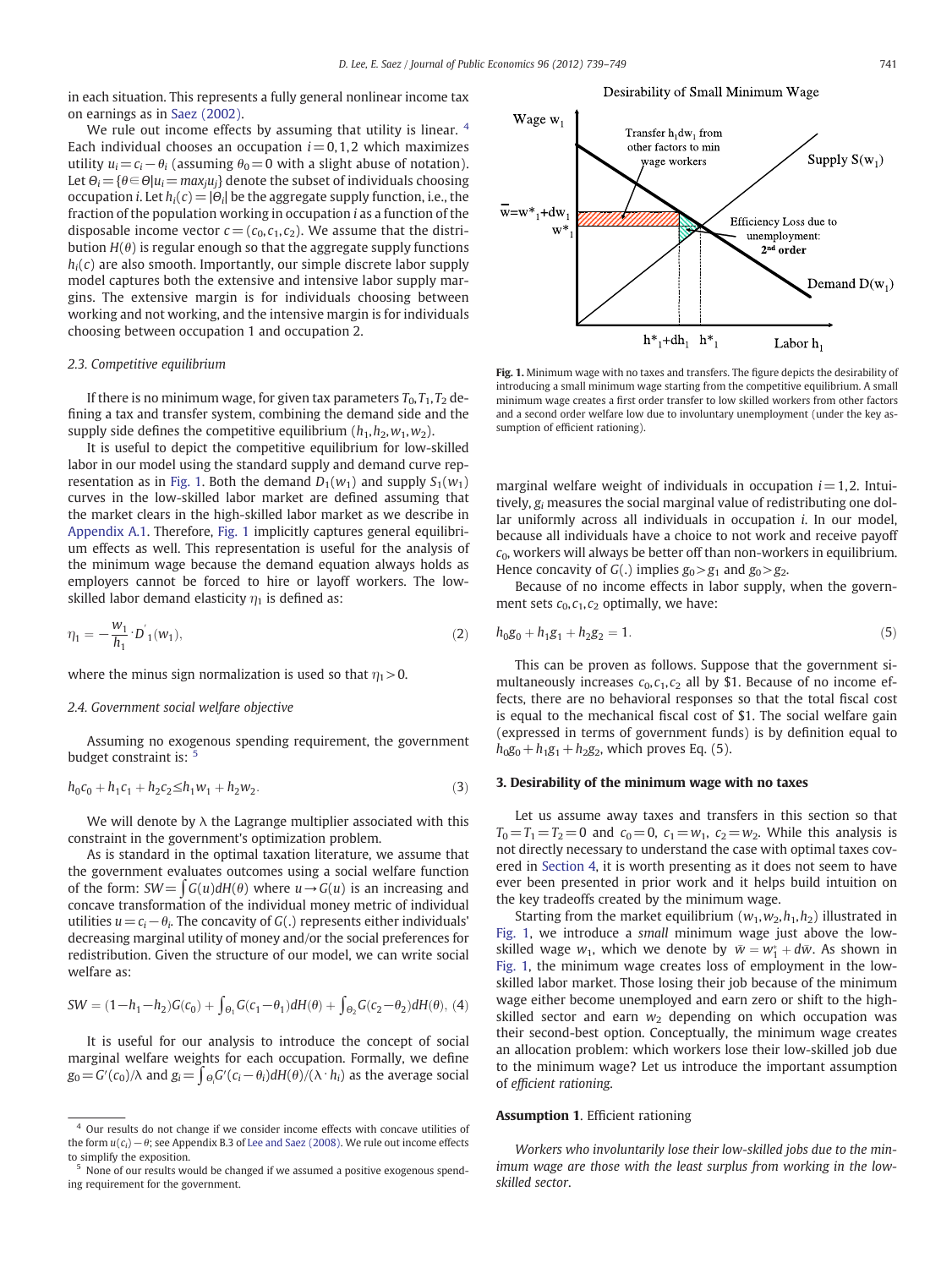<span id="page-2-0"></span>in each situation. This represents a fully general nonlinear income tax on earnings as in [Saez \(2002\).](#page-10-0)

We rule out income effects by assuming that utility is linear. <sup>4</sup> Each individual chooses an occupation  $i = 0, 1, 2$  which maximizes utility  $u_i = c_i - \theta_i$  (assuming  $\theta_0 = 0$  with a slight abuse of notation). Let  $\Theta_i = {\theta \in \Theta | u_i = max_i u_i}$  denote the subset of individuals choosing occupation *i*. Let  $h_i(c)=|\Theta_i|$  be the aggregate supply function, i.e., the fraction of the population working in occupation i as a function of the disposable income vector  $c = (c_0, c_1, c_2)$ . We assume that the distribution  $H(\theta)$  is regular enough so that the aggregate supply functions  $h_i(c)$  are also smooth. Importantly, our simple discrete labor supply model captures both the extensive and intensive labor supply margins. The extensive margin is for individuals choosing between working and not working, and the intensive margin is for individuals choosing between occupation 1 and occupation 2.

#### 2.3. Competitive equilibrium

If there is no minimum wage, for given tax parameters  $T_0, T_1, T_2$  defining a tax and transfer system, combining the demand side and the supply side defines the competitive equilibrium  $(h_1,h_2,w_1,w_2)$ .

It is useful to depict the competitive equilibrium for low-skilled labor in our model using the standard supply and demand curve representation as in Fig. 1. Both the demand  $D_1(w_1)$  and supply  $S_1(w_1)$ curves in the low-skilled labor market are defined assuming that the market clears in the high-skilled labor market as we describe in [Appendix A.1.](#page-8-0) Therefore, Fig. 1 implicitly captures general equilibrium effects as well. This representation is useful for the analysis of the minimum wage because the demand equation always holds as employers cannot be forced to hire or layoff workers. The lowskilled labor demand elasticity  $\eta_1$  is defined as:

$$
\eta_1 = -\frac{w_1}{h_1} \cdot D^{'}_1(w_1),\tag{2}
$$

where the minus sign normalization is used so that  $\eta_1 > 0$ .

#### 2.4. Government social welfare objective

Assuming no exogenous spending requirement, the government budget constraint is:

$$
h_0c_0 + h_1c_1 + h_2c_2 \le h_1w_1 + h_2w_2. \tag{3}
$$

We will denote by  $\lambda$  the Lagrange multiplier associated with this constraint in the government's optimization problem.

As is standard in the optimal taxation literature, we assume that the government evaluates outcomes using a social welfare function of the form:  $SW = \int G(u) dH(\theta)$  where  $u \rightarrow G(u)$  is an increasing and concave transformation of the individual money metric of individual utilities  $u=c_i-\theta_i$ . The concavity of  $G(.)$  represents either individuals' decreasing marginal utility of money and/or the social preferences for redistribution. Given the structure of our model, we can write social welfare as:

$$
SW = (1-h_1-h_2)G(c_0)+\int_{\Theta_1}G(c_1-\theta_1)dH(\theta)+\int_{\Theta_2}G(c_2-\theta_2)dH(\theta),
$$
 (4)

It is useful for our analysis to introduce the concept of social marginal welfare weights for each occupation. Formally, we define  $g_0\!=\!G'(c_0)/\lambda$  and  $g_i\!=\!\int_{\varTheta_i}\!\!G'(c_i\!-\!\theta_i)dH(\theta)/(\lambda\cdot h_i)$  as the average social



Fig. 1. Minimum wage with no taxes and transfers. The figure depicts the desirability of introducing a small minimum wage starting from the competitive equilibrium. A small minimum wage creates a first order transfer to low skilled workers from other factors and a second order welfare low due to involuntary unemployment (under the key assumption of efficient rationing).

marginal welfare weight of individuals in occupation  $i = 1, 2$ . Intuitively,  $g_i$  measures the social marginal value of redistributing one dollar uniformly across all individuals in occupation i. In our model, because all individuals have a choice to not work and receive payoff  $c<sub>0</sub>$ , workers will always be better off than non-workers in equilibrium. Hence concavity of  $G(.)$  implies  $g_0>g_1$  and  $g_0>g_2$ .

Because of no income effects in labor supply, when the government sets  $c_0$ ,  $c_1$ ,  $c_2$  optimally, we have:

$$
h_0 g_0 + h_1 g_1 + h_2 g_2 = 1. \tag{5}
$$

This can be proven as follows. Suppose that the government simultaneously increases  $c_0$ ,  $c_1$ ,  $c_2$  all by \$1. Because of no income effects, there are no behavioral responses so that the total fiscal cost is equal to the mechanical fiscal cost of \$1. The social welfare gain (expressed in terms of government funds) is by definition equal to  $h_0g_0 + h_1g_1 + h_2g_2$ , which proves Eq. (5).

#### 3. Desirability of the minimum wage with no taxes

Let us assume away taxes and transfers in this section so that  $T_0=T_1=T_2=0$  and  $c_0=0$ ,  $c_1=w_1$ ,  $c_2=w_2$ . While this analysis is not directly necessary to understand the case with optimal taxes covered in [Section 4,](#page-3-0) it is worth presenting as it does not seem to have ever been presented in prior work and it helps build intuition on the key tradeoffs created by the minimum wage.

Starting from the market equilibrium  $(w_1, w_2, h_1, h_2)$  illustrated in Fig. 1, we introduce a small minimum wage just above the lowskilled wage  $w_1$ , which we denote by  $\bar{w} = w_1^* + d\bar{w}$ . As shown in Fig. 1, the minimum wage creates loss of employment in the lowskilled labor market. Those losing their job because of the minimum wage either become unemployed and earn zero or shift to the highskilled sector and earn  $w_2$  depending on which occupation was their second-best option. Conceptually, the minimum wage creates an allocation problem: which workers lose their low-skilled job due to the minimum wage? Let us introduce the important assumption of efficient rationing.

#### Assumption 1. Efficient rationing

Workers who involuntarily lose their low-skilled jobs due to the minimum wage are those with the least surplus from working in the lowskilled sector.

<sup>4</sup> Our results do not change if we consider income effects with concave utilities of the form  $u(c_i) - \theta$ ; see Appendix B.3 of [Lee and Saez \(2008\)](#page-10-0). We rule out income effects to simplify the exposition.

<sup>&</sup>lt;sup>5</sup> None of our results would be changed if we assumed a positive exogenous spending requirement for the government.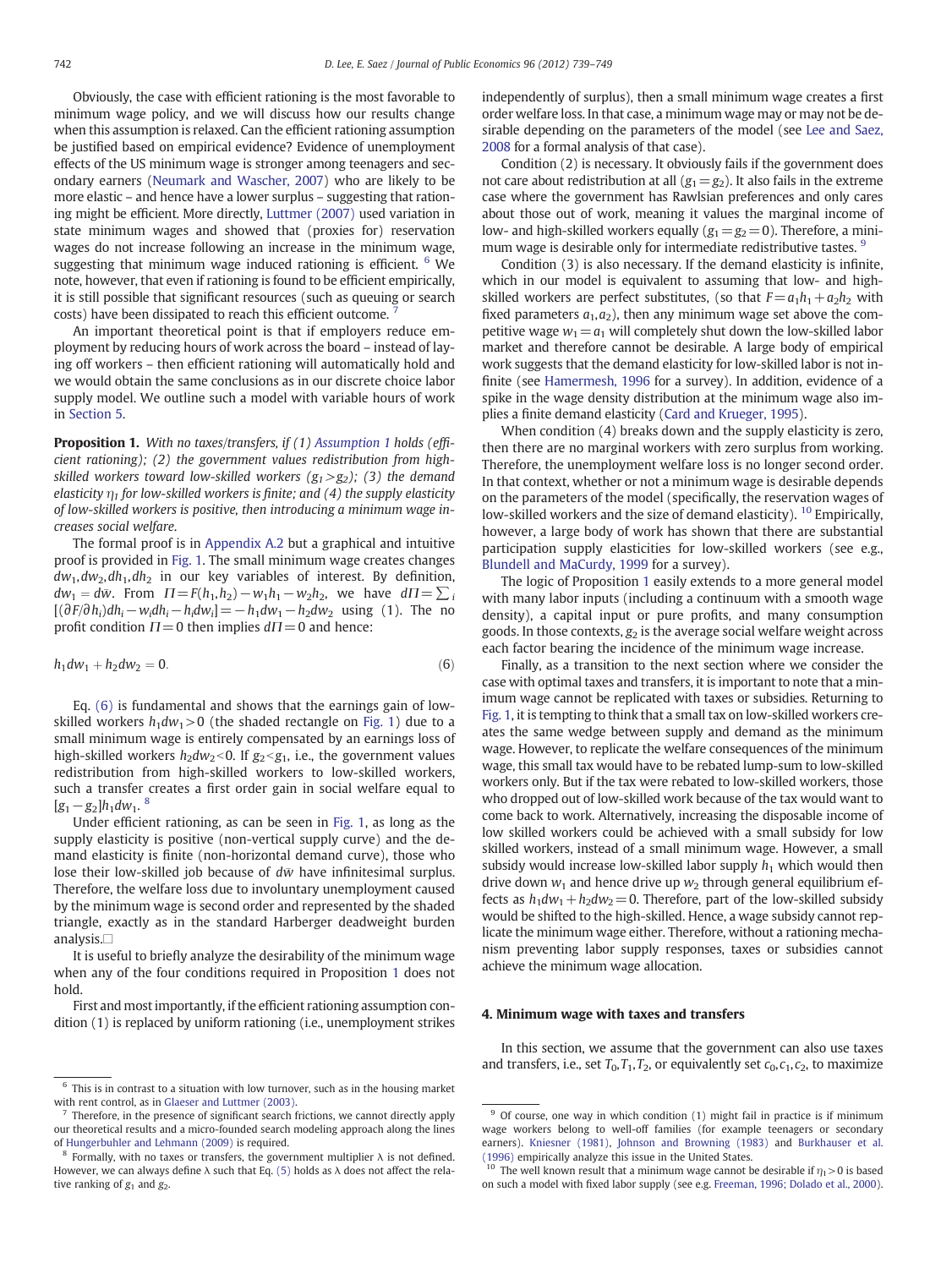<span id="page-3-0"></span>Obviously, the case with efficient rationing is the most favorable to minimum wage policy, and we will discuss how our results change when this assumption is relaxed. Can the efficient rationing assumption be justified based on empirical evidence? Evidence of unemployment effects of the US minimum wage is stronger among teenagers and secondary earners [\(Neumark and Wascher, 2007\)](#page-10-0) who are likely to be more elastic – and hence have a lower surplus – suggesting that rationing might be efficient. More directly, [Luttmer \(2007\)](#page-10-0) used variation in state minimum wages and showed that (proxies for) reservation wages do not increase following an increase in the minimum wage, suggesting that minimum wage induced rationing is efficient.  $\overline{6}$  We note, however, that even if rationing is found to be efficient empirically, it is still possible that significant resources (such as queuing or search costs) have been dissipated to reach this efficient outcome.

An important theoretical point is that if employers reduce employment by reducing hours of work across the board – instead of laying off workers – then efficient rationing will automatically hold and we would obtain the same conclusions as in our discrete choice labor supply model. We outline such a model with variable hours of work in [Section 5.](#page-6-0)

Proposition 1. With no taxes/transfers, if (1) [Assumption 1](#page-2-0) holds (efficient rationing); (2) the government values redistribution from highskilled workers toward low-skilled workers  $(g_1>g_2)$ ; (3) the demand elasticity  $\eta_1$  for low-skilled workers is finite; and (4) the supply elasticity of low-skilled workers is positive, then introducing a minimum wage increases social welfare.

The formal proof is in [Appendix A.2](#page-9-0) but a graphical and intuitive proof is provided in [Fig. 1.](#page-2-0) The small minimum wage creates changes  $dw_1, dw_2, dh_1, dh_2$  in our key variables of interest. By definition,  $dw_1 = d\bar{w}$ . From  $\Pi = F(h_1, h_2) - w_1h_1 - w_2h_2$ , we have  $d\Pi = \sum_i$  $[(\partial F/\partial h_i)dh_i-w_idh_i-h_idw_i]=-h_1dw_1-h_2dw_2$  using (1). The no profit condition  $\Pi = 0$  then implies  $d\Pi = 0$  and hence:

$$
h_1 dw_1 + h_2 dw_2 = 0. \t\t(6)
$$

Eq. (6) is fundamental and shows that the earnings gain of lowskilled workers  $h_1dw_1>0$  (the shaded rectangle on [Fig. 1](#page-2-0)) due to a small minimum wage is entirely compensated by an earnings loss of high-skilled workers  $h_2dw_2$ <0. If  $g_2 < g_1$ , i.e., the government values redistribution from high-skilled workers to low-skilled workers, such a transfer creates a first order gain in social welfare equal to  $[g_1-g_2]h_1dw_1$ .<sup>8</sup>

Under efficient rationing, as can be seen in [Fig. 1](#page-2-0), as long as the supply elasticity is positive (non-vertical supply curve) and the demand elasticity is finite (non-horizontal demand curve), those who lose their low-skilled job because of  $d\bar{w}$  have infinitesimal surplus. Therefore, the welfare loss due to involuntary unemployment caused by the minimum wage is second order and represented by the shaded triangle, exactly as in the standard Harberger deadweight burden analysis.□

It is useful to briefly analyze the desirability of the minimum wage when any of the four conditions required in Proposition 1 does not hold.

First and most importantly, if the efficient rationing assumption condition (1) is replaced by uniform rationing (i.e., unemployment strikes independently of surplus), then a small minimum wage creates a first order welfare loss. In that case, a minimum wage may or may not be desirable depending on the parameters of the model (see [Lee and Saez,](#page-10-0) [2008](#page-10-0) for a formal analysis of that case).

Condition (2) is necessary. It obviously fails if the government does not care about redistribution at all  $(g_1=g_2)$ . It also fails in the extreme case where the government has Rawlsian preferences and only cares about those out of work, meaning it values the marginal income of low- and high-skilled workers equally  $(g_1=g_2=0)$ . Therefore, a minimum wage is desirable only for intermediate redistributive tastes. <sup>9</sup>

Condition (3) is also necessary. If the demand elasticity is infinite, which in our model is equivalent to assuming that low- and highskilled workers are perfect substitutes, (so that  $F=a_1h_1+a_2h_2$  with fixed parameters  $a_1, a_2$ ), then any minimum wage set above the competitive wage  $w_1=a_1$  will completely shut down the low-skilled labor market and therefore cannot be desirable. A large body of empirical work suggests that the demand elasticity for low-skilled labor is not infinite (see [Hamermesh, 1996](#page-10-0) for a survey). In addition, evidence of a spike in the wage density distribution at the minimum wage also implies a finite demand elasticity ([Card and Krueger, 1995\)](#page-10-0).

When condition (4) breaks down and the supply elasticity is zero, then there are no marginal workers with zero surplus from working. Therefore, the unemployment welfare loss is no longer second order. In that context, whether or not a minimum wage is desirable depends on the parameters of the model (specifically, the reservation wages of low-skilled workers and the size of demand elasticity).  $10$  Empirically, however, a large body of work has shown that there are substantial participation supply elasticities for low-skilled workers (see e.g., [Blundell and MaCurdy, 1999](#page-9-0) for a survey).

The logic of Proposition 1 easily extends to a more general model with many labor inputs (including a continuum with a smooth wage density), a capital input or pure profits, and many consumption goods. In those contexts,  $g_2$  is the average social welfare weight across each factor bearing the incidence of the minimum wage increase.

Finally, as a transition to the next section where we consider the case with optimal taxes and transfers, it is important to note that a minimum wage cannot be replicated with taxes or subsidies. Returning to [Fig. 1,](#page-2-0) it is tempting to think that a small tax on low-skilled workers creates the same wedge between supply and demand as the minimum wage. However, to replicate the welfare consequences of the minimum wage, this small tax would have to be rebated lump-sum to low-skilled workers only. But if the tax were rebated to low-skilled workers, those who dropped out of low-skilled work because of the tax would want to come back to work. Alternatively, increasing the disposable income of low skilled workers could be achieved with a small subsidy for low skilled workers, instead of a small minimum wage. However, a small subsidy would increase low-skilled labor supply  $h_1$  which would then drive down  $w_1$  and hence drive up  $w_2$  through general equilibrium effects as  $h_1dw_1+h_2dw_2=0$ . Therefore, part of the low-skilled subsidy would be shifted to the high-skilled. Hence, a wage subsidy cannot replicate the minimum wage either. Therefore, without a rationing mechanism preventing labor supply responses, taxes or subsidies cannot achieve the minimum wage allocation.

#### 4. Minimum wage with taxes and transfers

In this section, we assume that the government can also use taxes and transfers, i.e., set  $T_0, T_1, T_2$ , or equivalently set  $c_0, c_1, c_2$ , to maximize

 $6$  This is in contrast to a situation with low turnover, such as in the housing market with rent control, as in [Glaeser and Luttmer \(2003\).](#page-10-0)

Therefore, in the presence of significant search frictions, we cannot directly apply our theoretical results and a micro-founded search modeling approach along the lines of [Hungerbuhler and Lehmann \(2009\)](#page-10-0) is required.

<sup>&</sup>lt;sup>8</sup> Formally, with no taxes or transfers, the government multiplier  $\lambda$  is not defined. However, we can always define  $\lambda$  such that Eq. [\(5\)](#page-2-0) holds as  $\lambda$  does not affect the relative ranking of  $g_1$  and  $g_2$ .

 $9$  Of course, one way in which condition (1) might fail in practice is if minimum wage workers belong to well-off families (for example teenagers or secondary earners). [Kniesner \(1981\)](#page-10-0), [Johnson and Browning \(1983\)](#page-10-0) and [Burkhauser et al.](#page-9-0) [\(1996\)](#page-9-0) empirically analyze this issue in the United States.

<sup>&</sup>lt;sup>10</sup> The well known result that a minimum wage cannot be desirable if  $\eta_1 > 0$  is based on such a model with fixed labor supply (see e.g. [Freeman, 1996; Dolado et al., 2000\)](#page-10-0).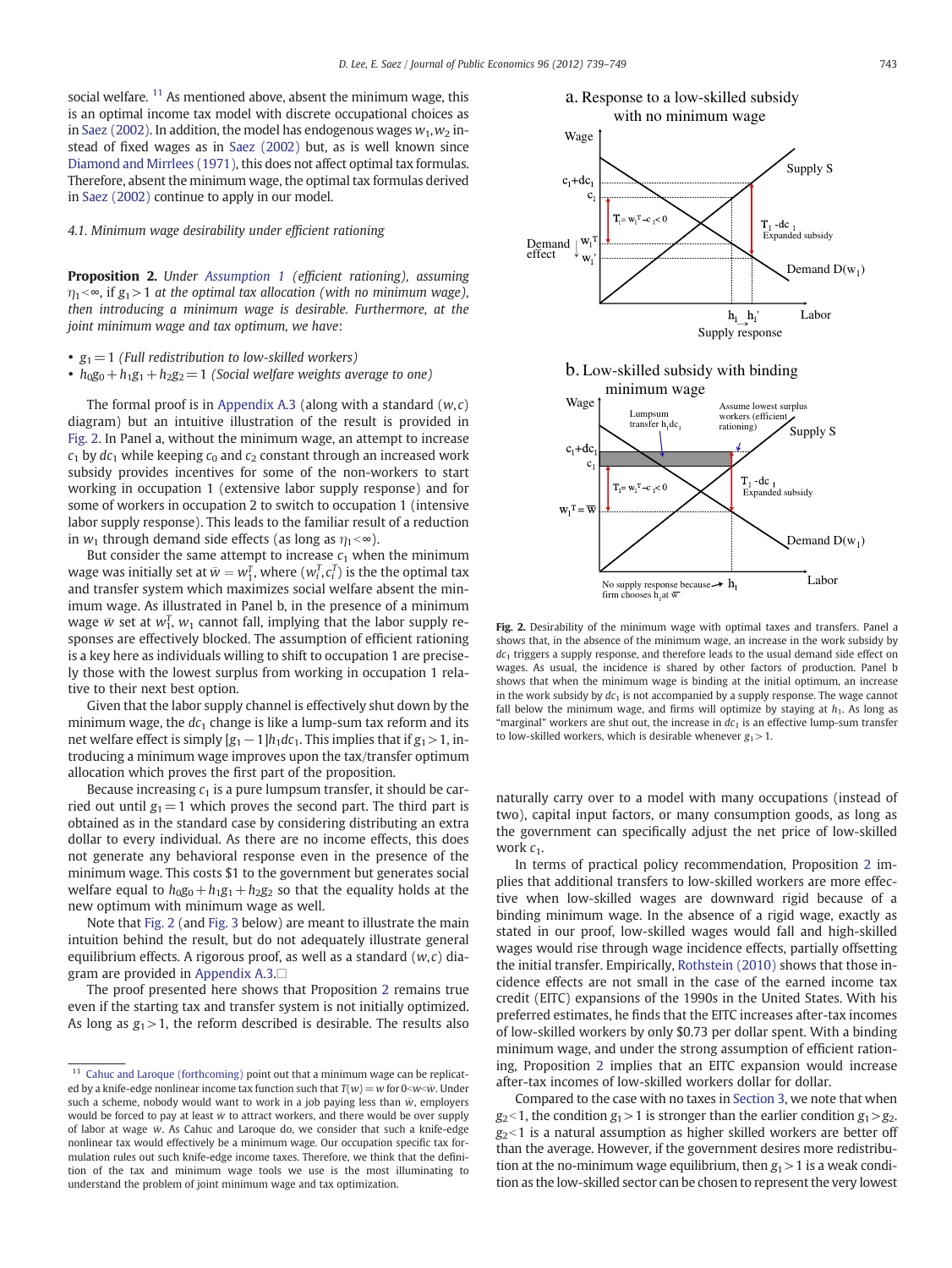<span id="page-4-0"></span>social welfare.  $11$  As mentioned above, absent the minimum wage, this is an optimal income tax model with discrete occupational choices as in [Saez \(2002\).](#page-10-0) In addition, the model has endogenous wages  $w_1, w_2$  instead of fixed wages as in [Saez \(2002\)](#page-10-0) but, as is well known since [Diamond and Mirrlees \(1971\),](#page-10-0) this does not affect optimal tax formulas. Therefore, absent the minimum wage, the optimal tax formulas derived in [Saez \(2002\)](#page-10-0) continue to apply in our model.

#### 4.1. Minimum wage desirability under efficient rationing

Proposition 2. Under [Assumption 1](#page-2-0) (efficient rationing), assuming  $\eta_1 < \infty$ , if g<sub>1</sub> > 1 at the optimal tax allocation (with no minimum wage), then introducing a minimum wage is desirable. Furthermore, at the joint minimum wage and tax optimum, we have:

- $g_1 = 1$  (Full redistribution to low-skilled workers)
- $h_0g_0 + h_1g_1 + h_2g_2 = 1$  (Social welfare weights average to one)

The formal proof is in [Appendix A.3](#page-9-0) (along with a standard  $(w, c)$ diagram) but an intuitive illustration of the result is provided in Fig. 2. In Panel a, without the minimum wage, an attempt to increase  $c_1$  by  $dc_1$  while keeping  $c_0$  and  $c_2$  constant through an increased work subsidy provides incentives for some of the non-workers to start working in occupation 1 (extensive labor supply response) and for some of workers in occupation 2 to switch to occupation 1 (intensive labor supply response). This leads to the familiar result of a reduction in  $w_1$  through demand side effects (as long as  $\eta_1 < \infty$ ).

But consider the same attempt to increase  $c_1$  when the minimum wage was initially set at  $\bar{w} = w_1^T$ , where  $(w_i^T, c_i^T)$  is the the optimal tax and transfer system which maximizes social welfare absent the minimum wage. As illustrated in Panel b, in the presence of a minimum wage  $\bar{w}$  set at  $w_1^T$ ,  $w_1$  cannot fall, implying that the labor supply responses are effectively blocked. The assumption of efficient rationing is a key here as individuals willing to shift to occupation 1 are precisely those with the lowest surplus from working in occupation 1 relative to their next best option.

Given that the labor supply channel is effectively shut down by the minimum wage, the  $dc_1$  change is like a lump-sum tax reform and its net welfare effect is simply  $[g_1-1]h_1dc_1$ . This implies that if  $g_1>1$ , introducing a minimum wage improves upon the tax/transfer optimum allocation which proves the first part of the proposition.

Because increasing  $c_1$  is a pure lumpsum transfer, it should be carried out until  $g_1 = 1$  which proves the second part. The third part is obtained as in the standard case by considering distributing an extra dollar to every individual. As there are no income effects, this does not generate any behavioral response even in the presence of the minimum wage. This costs \$1 to the government but generates social welfare equal to  $h_0g_0+h_1g_1+h_2g_2$  so that the equality holds at the new optimum with minimum wage as well.

Note that Fig. 2 (and [Fig. 3](#page-5-0) below) are meant to illustrate the main intuition behind the result, but do not adequately illustrate general equilibrium effects. A rigorous proof, as well as a standard  $(w, c)$  dia-gram are provided in [Appendix A.3](#page-9-0).□

The proof presented here shows that Proposition 2 remains true even if the starting tax and transfer system is not initially optimized. As long as  $g_1 > 1$ , the reform described is desirable. The results also



Fig. 2. Desirability of the minimum wage with optimal taxes and transfers. Panel a shows that, in the absence of the minimum wage, an increase in the work subsidy by  $dc_1$  triggers a supply response, and therefore leads to the usual demand side effect on wages. As usual, the incidence is shared by other factors of production. Panel b shows that when the minimum wage is binding at the initial optimum, an increase in the work subsidy by  $dc_1$  is not accompanied by a supply response. The wage cannot fall below the minimum wage, and firms will optimize by staying at  $h_1$ . As long as "marginal" workers are shut out, the increase in  $dc_1$  is an effective lump-sum transfer to low-skilled workers, which is desirable whenever  $g_1 > 1$ .

naturally carry over to a model with many occupations (instead of two), capital input factors, or many consumption goods, as long as the government can specifically adjust the net price of low-skilled work  $c_1$ .

In terms of practical policy recommendation, Proposition 2 implies that additional transfers to low-skilled workers are more effective when low-skilled wages are downward rigid because of a binding minimum wage. In the absence of a rigid wage, exactly as stated in our proof, low-skilled wages would fall and high-skilled wages would rise through wage incidence effects, partially offsetting the initial transfer. Empirically, [Rothstein \(2010\)](#page-10-0) shows that those incidence effects are not small in the case of the earned income tax credit (EITC) expansions of the 1990s in the United States. With his preferred estimates, he finds that the EITC increases after-tax incomes of low-skilled workers by only \$0.73 per dollar spent. With a binding minimum wage, and under the strong assumption of efficient rationing, Proposition 2 implies that an EITC expansion would increase after-tax incomes of low-skilled workers dollar for dollar.

Compared to the case with no taxes in [Section 3](#page-2-0), we note that when  $g_2$ <1, the condition  $g_1>1$  is stronger than the earlier condition  $g_1>g_2$ .  $g_2$ <1 is a natural assumption as higher skilled workers are better off than the average. However, if the government desires more redistribution at the no-minimum wage equilibrium, then  $g_1 > 1$  is a weak condition as the low-skilled sector can be chosen to represent the very lowest

 $11$  [Cahuc and Laroque \(forthcoming\)](#page-9-0) point out that a minimum wage can be replicated by a knife-edge nonlinear income tax function such that  $T(w)=w$  for 0 $\ll w \ll w$ . Under such a scheme, nobody would want to work in a job paying less than  $\bar{w}$ , employers would be forced to pay at least  $\bar{w}$  to attract workers, and there would be over supply of labor at wage  $\bar{w}$ . As Cahuc and Laroque do, we consider that such a knife-edge nonlinear tax would effectively be a minimum wage. Our occupation specific tax formulation rules out such knife-edge income taxes. Therefore, we think that the definition of the tax and minimum wage tools we use is the most illuminating to understand the problem of joint minimum wage and tax optimization.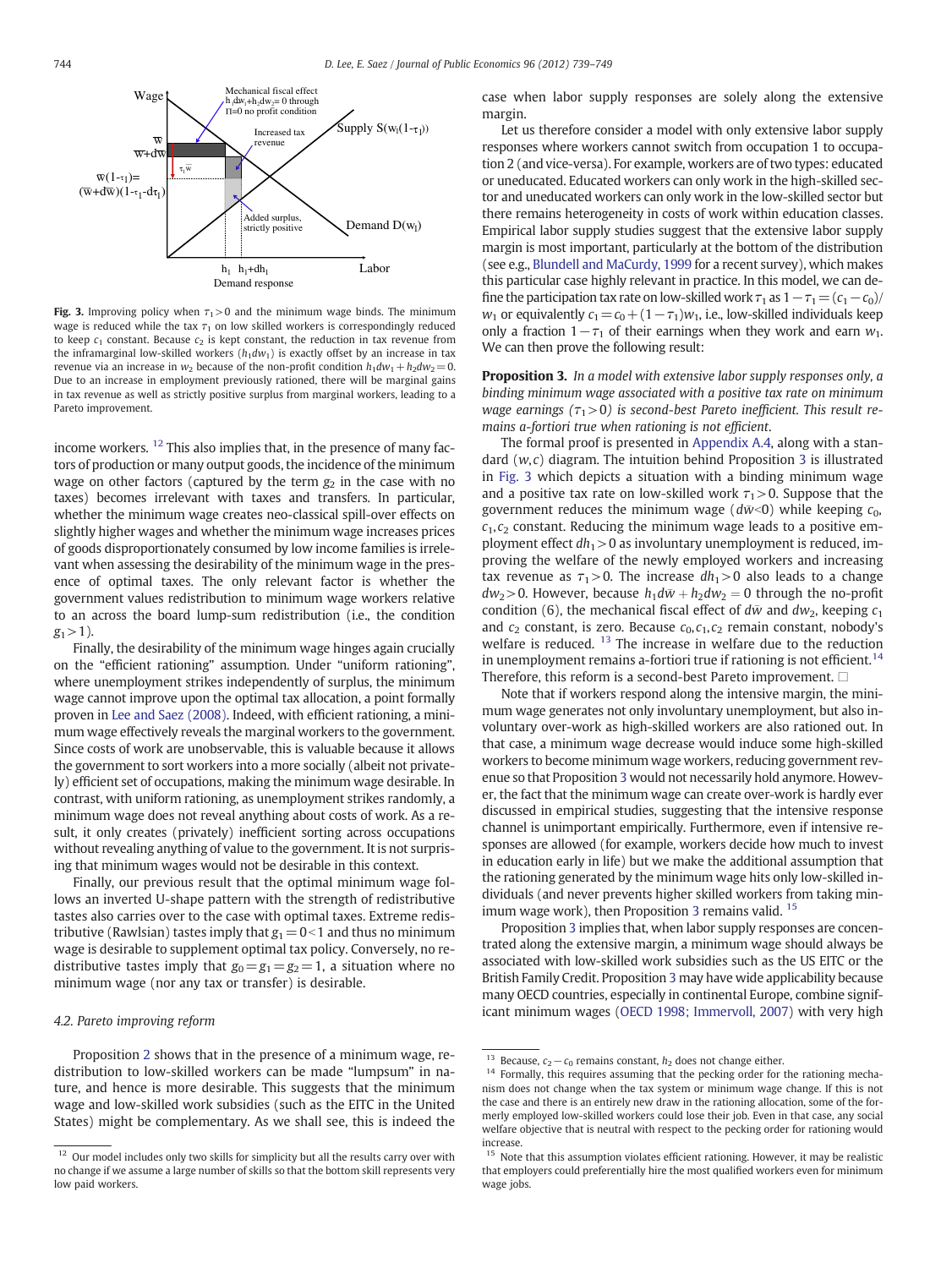<span id="page-5-0"></span>

Fig. 3. Improving policy when  $\tau_1>0$  and the minimum wage binds. The minimum wage is reduced while the tax  $\tau_1$  on low skilled workers is correspondingly reduced to keep  $c_1$  constant. Because  $c_2$  is kept constant, the reduction in tax revenue from the inframarginal low-skilled workers  $(h_1dw_1)$  is exactly offset by an increase in tax revenue via an increase in  $w_2$  because of the non-profit condition  $h_1dw_1 + h_2dw_2 = 0$ . Due to an increase in employment previously rationed, there will be marginal gains in tax revenue as well as strictly positive surplus from marginal workers, leading to a Pareto improvement.

income workers.  $^{12}$  This also implies that, in the presence of many factors of production or many output goods, the incidence of the minimum wage on other factors (captured by the term  $g_2$  in the case with no taxes) becomes irrelevant with taxes and transfers. In particular, whether the minimum wage creates neo-classical spill-over effects on slightly higher wages and whether the minimum wage increases prices of goods disproportionately consumed by low income families is irrelevant when assessing the desirability of the minimum wage in the presence of optimal taxes. The only relevant factor is whether the government values redistribution to minimum wage workers relative to an across the board lump-sum redistribution (i.e., the condition  $g_1 > 1$ ).

Finally, the desirability of the minimum wage hinges again crucially on the "efficient rationing" assumption. Under "uniform rationing", where unemployment strikes independently of surplus, the minimum wage cannot improve upon the optimal tax allocation, a point formally proven in [Lee and Saez \(2008\).](#page-10-0) Indeed, with efficient rationing, a minimum wage effectively reveals the marginal workers to the government. Since costs of work are unobservable, this is valuable because it allows the government to sort workers into a more socially (albeit not privately) efficient set of occupations, making the minimum wage desirable. In contrast, with uniform rationing, as unemployment strikes randomly, a minimum wage does not reveal anything about costs of work. As a result, it only creates (privately) inefficient sorting across occupations without revealing anything of value to the government. It is not surprising that minimum wages would not be desirable in this context.

Finally, our previous result that the optimal minimum wage follows an inverted U-shape pattern with the strength of redistributive tastes also carries over to the case with optimal taxes. Extreme redistributive (Rawlsian) tastes imply that  $g_1 = 0 < 1$  and thus no minimum wage is desirable to supplement optimal tax policy. Conversely, no redistributive tastes imply that  $g_0 = g_1 = g_2 = 1$ , a situation where no minimum wage (nor any tax or transfer) is desirable.

#### 4.2. Pareto improving reform

Proposition [2](#page-4-0) shows that in the presence of a minimum wage, redistribution to low-skilled workers can be made "lumpsum" in nature, and hence is more desirable. This suggests that the minimum wage and low-skilled work subsidies (such as the EITC in the United States) might be complementary. As we shall see, this is indeed the case when labor supply responses are solely along the extensive margin.

Let us therefore consider a model with only extensive labor supply responses where workers cannot switch from occupation 1 to occupation 2 (and vice-versa). For example, workers are of two types: educated or uneducated. Educated workers can only work in the high-skilled sector and uneducated workers can only work in the low-skilled sector but there remains heterogeneity in costs of work within education classes. Empirical labor supply studies suggest that the extensive labor supply margin is most important, particularly at the bottom of the distribution (see e.g., [Blundell and MaCurdy, 1999](#page-9-0) for a recent survey), which makes this particular case highly relevant in practice. In this model, we can define the participation tax rate on low-skilled work  $\tau_1$  as  $1-\tau_1=(c_1-c_0)/\tau_1$  $w_1$  or equivalently  $c_1=c_0+(1-\tau_1)w_1$ , i.e., low-skilled individuals keep only a fraction  $1-\tau_1$  of their earnings when they work and earn  $w_1$ . We can then prove the following result:

Proposition 3. In a model with extensive labor supply responses only, a binding minimum wage associated with a positive tax rate on minimum wage earnings ( $\tau_1$ >0) is second-best Pareto inefficient. This result remains a-fortiori true when rationing is not efficient.

The formal proof is presented in [Appendix A.4](#page-9-0), along with a standard  $(w, c)$  diagram. The intuition behind Proposition 3 is illustrated in Fig. 3 which depicts a situation with a binding minimum wage and a positive tax rate on low-skilled work  $\tau_1>0$ . Suppose that the government reduces the minimum wage ( $d\bar{w}$ <0) while keeping  $c_0$ ,  $c_1, c_2$  constant. Reducing the minimum wage leads to a positive employment effect  $dh_1>0$  as involuntary unemployment is reduced, improving the welfare of the newly employed workers and increasing tax revenue as  $\tau_1>0$ . The increase  $dh_1>0$  also leads to a change  $dw_2$  > 0. However, because  $h_1 d\bar{w} + h_2 dw_2 = 0$  through the no-profit condition (6), the mechanical fiscal effect of  $d\bar{w}$  and  $dw_2$ , keeping  $c_1$ and  $c_2$  constant, is zero. Because  $c_0, c_1, c_2$  remain constant, nobody's welfare is reduced.  $13$  The increase in welfare due to the reduction in unemployment remains a-fortiori true if rationing is not efficient.<sup>14</sup> Therefore, this reform is a second-best Pareto improvement.  $\square$ 

Note that if workers respond along the intensive margin, the minimum wage generates not only involuntary unemployment, but also involuntary over-work as high-skilled workers are also rationed out. In that case, a minimum wage decrease would induce some high-skilled workers to become minimum wage workers, reducing government revenue so that Proposition 3 would not necessarily hold anymore. However, the fact that the minimum wage can create over-work is hardly ever discussed in empirical studies, suggesting that the intensive response channel is unimportant empirically. Furthermore, even if intensive responses are allowed (for example, workers decide how much to invest in education early in life) but we make the additional assumption that the rationing generated by the minimum wage hits only low-skilled individuals (and never prevents higher skilled workers from taking minimum wage work), then Proposition 3 remains valid. <sup>15</sup>

Proposition 3 implies that, when labor supply responses are concentrated along the extensive margin, a minimum wage should always be associated with low-skilled work subsidies such as the US EITC or the British Family Credit. Proposition 3 may have wide applicability because many OECD countries, especially in continental Europe, combine significant minimum wages [\(OECD 1998; Immervoll, 2007](#page-10-0)) with very high

 $12$  Our model includes only two skills for simplicity but all the results carry over with no change if we assume a large number of skills so that the bottom skill represents very low paid workers.

<sup>&</sup>lt;sup>13</sup> Because,  $c_2 - c_0$  remains constant,  $h_2$  does not change either. <sup>14</sup> Formally, this requires assuming that the pecking order for the rationing mechanism does not change when the tax system or minimum wage change. If this is not the case and there is an entirely new draw in the rationing allocation, some of the formerly employed low-skilled workers could lose their job. Even in that case, any social welfare objective that is neutral with respect to the pecking order for rationing would increase.

<sup>&</sup>lt;sup>15</sup> Note that this assumption violates efficient rationing. However, it may be realistic that employers could preferentially hire the most qualified workers even for minimum wage jobs.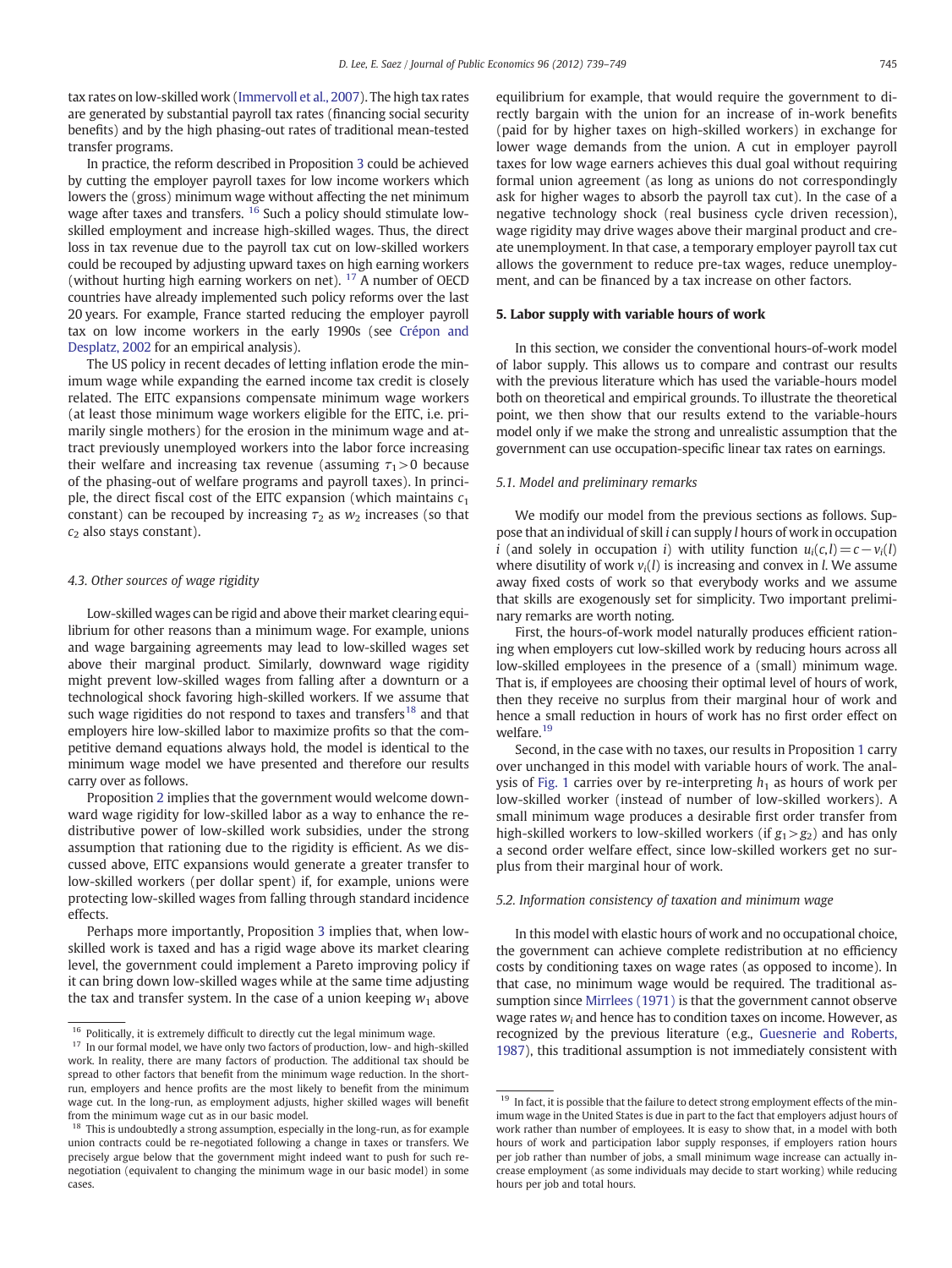<span id="page-6-0"></span>tax rates on low-skilled work [\(Immervoll et al., 2007\)](#page-10-0). The high tax rates are generated by substantial payroll tax rates (financing social security benefits) and by the high phasing-out rates of traditional mean-tested transfer programs.

In practice, the reform described in Proposition [3](#page-5-0) could be achieved by cutting the employer payroll taxes for low income workers which lowers the (gross) minimum wage without affecting the net minimum wage after taxes and transfers. <sup>16</sup> Such a policy should stimulate lowskilled employment and increase high-skilled wages. Thus, the direct loss in tax revenue due to the payroll tax cut on low-skilled workers could be recouped by adjusting upward taxes on high earning workers (without hurting high earning workers on net). <sup>17</sup> A number of OECD countries have already implemented such policy reforms over the last 20 years. For example, France started reducing the employer payroll tax on low income workers in the early 1990s (see [Crépon and](#page-10-0) [Desplatz, 2002](#page-10-0) for an empirical analysis).

The US policy in recent decades of letting inflation erode the minimum wage while expanding the earned income tax credit is closely related. The EITC expansions compensate minimum wage workers (at least those minimum wage workers eligible for the EITC, i.e. primarily single mothers) for the erosion in the minimum wage and attract previously unemployed workers into the labor force increasing their welfare and increasing tax revenue (assuming  $\tau_1>0$  because of the phasing-out of welfare programs and payroll taxes). In principle, the direct fiscal cost of the EITC expansion (which maintains  $c_1$ ) constant) can be recouped by increasing  $\tau_2$  as  $w_2$  increases (so that  $c_2$  also stays constant).

#### 4.3. Other sources of wage rigidity

Low-skilled wages can be rigid and above their market clearing equilibrium for other reasons than a minimum wage. For example, unions and wage bargaining agreements may lead to low-skilled wages set above their marginal product. Similarly, downward wage rigidity might prevent low-skilled wages from falling after a downturn or a technological shock favoring high-skilled workers. If we assume that such wage rigidities do not respond to taxes and transfers<sup>18</sup> and that employers hire low-skilled labor to maximize profits so that the competitive demand equations always hold, the model is identical to the minimum wage model we have presented and therefore our results carry over as follows.

Proposition [2](#page-4-0) implies that the government would welcome downward wage rigidity for low-skilled labor as a way to enhance the redistributive power of low-skilled work subsidies, under the strong assumption that rationing due to the rigidity is efficient. As we discussed above, EITC expansions would generate a greater transfer to low-skilled workers (per dollar spent) if, for example, unions were protecting low-skilled wages from falling through standard incidence effects.

Perhaps more importantly, Proposition [3](#page-5-0) implies that, when lowskilled work is taxed and has a rigid wage above its market clearing level, the government could implement a Pareto improving policy if it can bring down low-skilled wages while at the same time adjusting the tax and transfer system. In the case of a union keeping  $w_1$  above equilibrium for example, that would require the government to directly bargain with the union for an increase of in-work benefits (paid for by higher taxes on high-skilled workers) in exchange for lower wage demands from the union. A cut in employer payroll taxes for low wage earners achieves this dual goal without requiring formal union agreement (as long as unions do not correspondingly ask for higher wages to absorb the payroll tax cut). In the case of a negative technology shock (real business cycle driven recession), wage rigidity may drive wages above their marginal product and create unemployment. In that case, a temporary employer payroll tax cut allows the government to reduce pre-tax wages, reduce unemployment, and can be financed by a tax increase on other factors.

#### 5. Labor supply with variable hours of work

In this section, we consider the conventional hours-of-work model of labor supply. This allows us to compare and contrast our results with the previous literature which has used the variable-hours model both on theoretical and empirical grounds. To illustrate the theoretical point, we then show that our results extend to the variable-hours model only if we make the strong and unrealistic assumption that the government can use occupation-specific linear tax rates on earnings.

#### 5.1. Model and preliminary remarks

We modify our model from the previous sections as follows. Suppose that an individual of skill i can supply l hours of work in occupation i (and solely in occupation i) with utility function  $u_i(c,l)=c-v_i(l)$ where disutility of work  $v_i(l)$  is increasing and convex in *l*. We assume away fixed costs of work so that everybody works and we assume that skills are exogenously set for simplicity. Two important preliminary remarks are worth noting.

First, the hours-of-work model naturally produces efficient rationing when employers cut low-skilled work by reducing hours across all low-skilled employees in the presence of a (small) minimum wage. That is, if employees are choosing their optimal level of hours of work, then they receive no surplus from their marginal hour of work and hence a small reduction in hours of work has no first order effect on welfare.<sup>19</sup>

Second, in the case with no taxes, our results in Proposition [1](#page-3-0) carry over unchanged in this model with variable hours of work. The anal-ysis of [Fig. 1](#page-2-0) carries over by re-interpreting  $h_1$  as hours of work per low-skilled worker (instead of number of low-skilled workers). A small minimum wage produces a desirable first order transfer from high-skilled workers to low-skilled workers (if  $g_1 > g_2$ ) and has only a second order welfare effect, since low-skilled workers get no surplus from their marginal hour of work.

#### 5.2. Information consistency of taxation and minimum wage

In this model with elastic hours of work and no occupational choice, the government can achieve complete redistribution at no efficiency costs by conditioning taxes on wage rates (as opposed to income). In that case, no minimum wage would be required. The traditional assumption since [Mirrlees \(1971\)](#page-10-0) is that the government cannot observe wage rates  $w_i$  and hence has to condition taxes on income. However, as recognized by the previous literature (e.g., [Guesnerie and Roberts,](#page-10-0) [1987](#page-10-0)), this traditional assumption is not immediately consistent with

<sup>&</sup>lt;sup>16</sup> Politically, it is extremely difficult to directly cut the legal minimum wage.

<sup>&</sup>lt;sup>17</sup> In our formal model, we have only two factors of production, low- and high-skilled work. In reality, there are many factors of production. The additional tax should be spread to other factors that benefit from the minimum wage reduction. In the shortrun, employers and hence profits are the most likely to benefit from the minimum wage cut. In the long-run, as employment adjusts, higher skilled wages will benefit from the minimum wage cut as in our basic model.

 $18$  This is undoubtedly a strong assumption, especially in the long-run, as for example union contracts could be re-negotiated following a change in taxes or transfers. We precisely argue below that the government might indeed want to push for such renegotiation (equivalent to changing the minimum wage in our basic model) in some cases.

<sup>&</sup>lt;sup>19</sup> In fact, it is possible that the failure to detect strong employment effects of the minimum wage in the United States is due in part to the fact that employers adjust hours of work rather than number of employees. It is easy to show that, in a model with both hours of work and participation labor supply responses, if employers ration hours per job rather than number of jobs, a small minimum wage increase can actually increase employment (as some individuals may decide to start working) while reducing hours per job and total hours.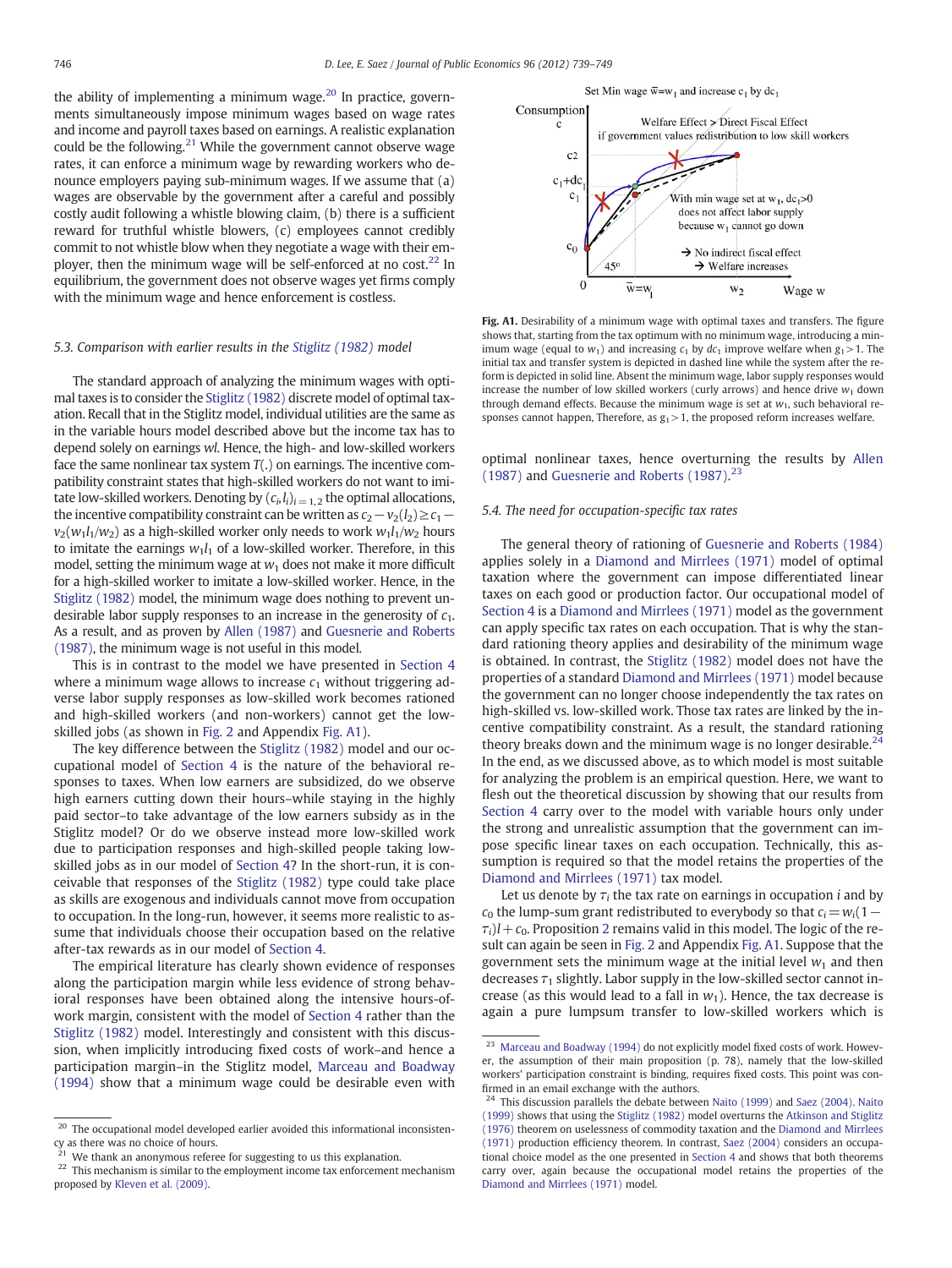<span id="page-7-0"></span>the ability of implementing a minimum wage.<sup>20</sup> In practice, governments simultaneously impose minimum wages based on wage rates and income and payroll taxes based on earnings. A realistic explanation could be the following. $21$  While the government cannot observe wage rates, it can enforce a minimum wage by rewarding workers who denounce employers paying sub-minimum wages. If we assume that (a) wages are observable by the government after a careful and possibly costly audit following a whistle blowing claim, (b) there is a sufficient reward for truthful whistle blowers, (c) employees cannot credibly commit to not whistle blow when they negotiate a wage with their employer, then the minimum wage will be self-enforced at no cost.<sup>22</sup> In equilibrium, the government does not observe wages yet firms comply with the minimum wage and hence enforcement is costless.

#### 5.3. Comparison with earlier results in the [Stiglitz \(1982\)](#page-10-0) model

The standard approach of analyzing the minimum wages with optimal taxes is to consider the [Stiglitz \(1982\)](#page-10-0) discrete model of optimal taxation. Recall that in the Stiglitz model, individual utilities are the same as in the variable hours model described above but the income tax has to depend solely on earnings wl. Hence, the high- and low-skilled workers face the same nonlinear tax system  $T(.)$  on earnings. The incentive compatibility constraint states that high-skilled workers do not want to imitate low-skilled workers. Denoting by  $(c_i, l_i)_{i=1,2}$  the optimal allocations, the incentive compatibility constraint can be written as  $c_2-v_2(l_2)\geq c_1$  $v_2(w_1l_1/w_2)$  as a high-skilled worker only needs to work  $w_1l_1/w_2$  hours to imitate the earnings  $w_1l_1$  of a low-skilled worker. Therefore, in this model, setting the minimum wage at  $w_1$  does not make it more difficult for a high-skilled worker to imitate a low-skilled worker. Hence, in the [Stiglitz \(1982\)](#page-10-0) model, the minimum wage does nothing to prevent undesirable labor supply responses to an increase in the generosity of  $c_1$ . As a result, and as proven by [Allen \(1987\)](#page-9-0) and [Guesnerie and Roberts](#page-10-0) [\(1987\)](#page-10-0), the minimum wage is not useful in this model.

This is in contrast to the model we have presented in [Section 4](#page-3-0) where a minimum wage allows to increase  $c_1$  without triggering adverse labor supply responses as low-skilled work becomes rationed and high-skilled workers (and non-workers) cannot get the lowskilled jobs (as shown in [Fig. 2](#page-4-0) and Appendix Fig. A1).

The key difference between the [Stiglitz \(1982\)](#page-10-0) model and our occupational model of [Section 4](#page-3-0) is the nature of the behavioral responses to taxes. When low earners are subsidized, do we observe high earners cutting down their hours–while staying in the highly paid sector–to take advantage of the low earners subsidy as in the Stiglitz model? Or do we observe instead more low-skilled work due to participation responses and high-skilled people taking lowskilled jobs as in our model of [Section 4?](#page-3-0) In the short-run, it is conceivable that responses of the [Stiglitz \(1982\)](#page-10-0) type could take place as skills are exogenous and individuals cannot move from occupation to occupation. In the long-run, however, it seems more realistic to assume that individuals choose their occupation based on the relative after-tax rewards as in our model of [Section 4](#page-3-0).

The empirical literature has clearly shown evidence of responses along the participation margin while less evidence of strong behavioral responses have been obtained along the intensive hours-ofwork margin, consistent with the model of [Section 4](#page-3-0) rather than the [Stiglitz \(1982\)](#page-10-0) model. Interestingly and consistent with this discussion, when implicitly introducing fixed costs of work–and hence a participation margin–in the Stiglitz model, [Marceau and Boadway](#page-10-0) [\(1994\)](#page-10-0) show that a minimum wage could be desirable even with



Fig. A1. Desirability of a minimum wage with optimal taxes and transfers. The figure shows that, starting from the tax optimum with no minimum wage, introducing a minimum wage (equal to  $w_1$ ) and increasing  $c_1$  by  $dc_1$  improve welfare when  $g_1 > 1$ . The initial tax and transfer system is depicted in dashed line while the system after the reform is depicted in solid line. Absent the minimum wage, labor supply responses would increase the number of low skilled workers (curly arrows) and hence drive  $w_1$  down through demand effects. Because the minimum wage is set at  $w_1$ , such behavioral responses cannot happen, Therefore, as  $g_1 > 1$ , the proposed reform increases welfare.

optimal nonlinear taxes, hence overturning the results by [Allen](#page-9-0) [\(1987\)](#page-9-0) and [Guesnerie and Roberts \(1987\)](#page-10-0). 23

#### 5.4. The need for occupation-specific tax rates

The general theory of rationing of [Guesnerie and Roberts \(1984\)](#page-10-0) applies solely in a [Diamond and Mirrlees \(1971\)](#page-10-0) model of optimal taxation where the government can impose differentiated linear taxes on each good or production factor. Our occupational model of [Section 4](#page-3-0) is a [Diamond and Mirrlees \(1971\)](#page-10-0) model as the government can apply specific tax rates on each occupation. That is why the standard rationing theory applies and desirability of the minimum wage is obtained. In contrast, the [Stiglitz \(1982\)](#page-10-0) model does not have the properties of a standard [Diamond and Mirrlees \(1971\)](#page-10-0) model because the government can no longer choose independently the tax rates on high-skilled vs. low-skilled work. Those tax rates are linked by the incentive compatibility constraint. As a result, the standard rationing theory breaks down and the minimum wage is no longer desirable.<sup>2</sup> In the end, as we discussed above, as to which model is most suitable for analyzing the problem is an empirical question. Here, we want to flesh out the theoretical discussion by showing that our results from [Section 4](#page-3-0) carry over to the model with variable hours only under the strong and unrealistic assumption that the government can impose specific linear taxes on each occupation. Technically, this assumption is required so that the model retains the properties of the [Diamond and Mirrlees \(1971\)](#page-10-0) tax model.

Let us denote by  $\tau_i$  the tax rate on earnings in occupation *i* and by  $c_0$  the lump-sum grant redistributed to everybody so that  $c_i=w_i(1 \tau_i$ )l +  $c_0$ . Proposition [2](#page-4-0) remains valid in this model. The logic of the result can again be seen in [Fig. 2](#page-4-0) and Appendix Fig. A1. Suppose that the government sets the minimum wage at the initial level  $w_1$  and then decreases  $\tau_1$  slightly. Labor supply in the low-skilled sector cannot increase (as this would lead to a fall in  $w_1$ ). Hence, the tax decrease is again a pure lumpsum transfer to low-skilled workers which is

 $20$  The occupational model developed earlier avoided this informational inconsistency as there was no choice of hours. <sup>21</sup> We thank an anonymous referee for suggesting to us this explanation.

 $^{22}\,$  This mechanism is similar to the employment income tax enforcement mechanism proposed by [Kleven et al. \(2009\)](#page-10-0).

<sup>&</sup>lt;sup>23</sup> [Marceau and Boadway \(1994\)](#page-10-0) do not explicitly model fixed costs of work. However, the assumption of their main proposition (p. 78), namely that the low-skilled workers' participation constraint is binding, requires fixed costs. This point was confirmed in an email exchange with the authors.

 $24$  This discussion parallels the debate between [Naito \(1999\)](#page-10-0) and [Saez \(2004\).](#page-10-0) [Naito](#page-10-0) [\(1999\)](#page-10-0) shows that using the [Stiglitz \(1982\)](#page-10-0) model overturns the [Atkinson and Stiglitz](#page-9-0) [\(1976\)](#page-9-0) theorem on uselessness of commodity taxation and the [Diamond and Mirrlees](#page-10-0) [\(1971\)](#page-10-0) production efficiency theorem. In contrast, [Saez \(2004\)](#page-10-0) considers an occupational choice model as the one presented in [Section 4](#page-3-0) and shows that both theorems carry over, again because the occupational model retains the properties of the [Diamond and Mirrlees \(1971\)](#page-10-0) model.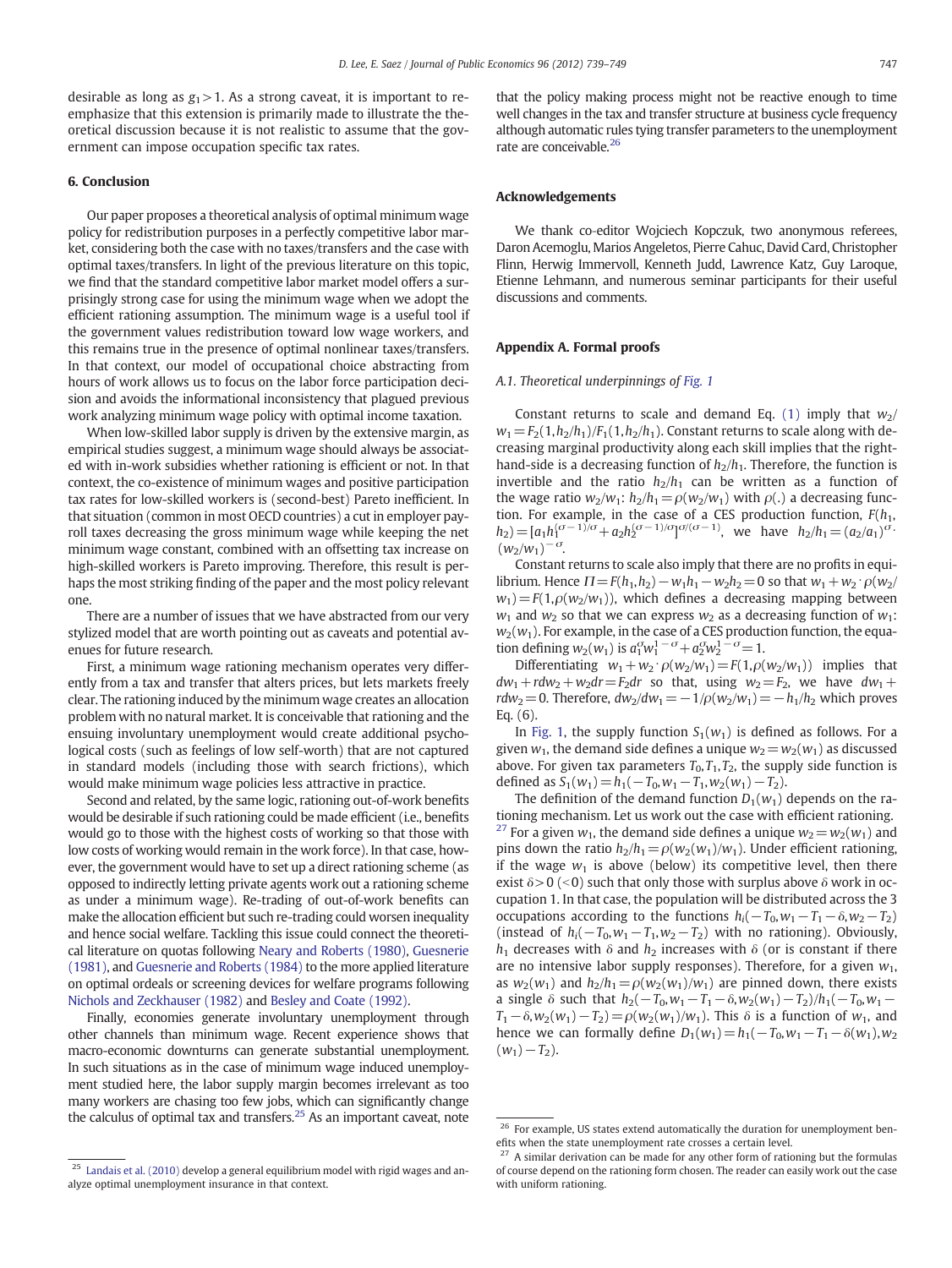<span id="page-8-0"></span>desirable as long as  $g_1 > 1$ . As a strong caveat, it is important to reemphasize that this extension is primarily made to illustrate the theoretical discussion because it is not realistic to assume that the government can impose occupation specific tax rates.

### 6. Conclusion

Our paper proposes a theoretical analysis of optimal minimum wage policy for redistribution purposes in a perfectly competitive labor market, considering both the case with no taxes/transfers and the case with optimal taxes/transfers. In light of the previous literature on this topic, we find that the standard competitive labor market model offers a surprisingly strong case for using the minimum wage when we adopt the efficient rationing assumption. The minimum wage is a useful tool if the government values redistribution toward low wage workers, and this remains true in the presence of optimal nonlinear taxes/transfers. In that context, our model of occupational choice abstracting from hours of work allows us to focus on the labor force participation decision and avoids the informational inconsistency that plagued previous work analyzing minimum wage policy with optimal income taxation.

When low-skilled labor supply is driven by the extensive margin, as empirical studies suggest, a minimum wage should always be associated with in-work subsidies whether rationing is efficient or not. In that context, the co-existence of minimum wages and positive participation tax rates for low-skilled workers is (second-best) Pareto inefficient. In that situation (common in most OECD countries) a cut in employer payroll taxes decreasing the gross minimum wage while keeping the net minimum wage constant, combined with an offsetting tax increase on high-skilled workers is Pareto improving. Therefore, this result is perhaps the most striking finding of the paper and the most policy relevant one.

There are a number of issues that we have abstracted from our very stylized model that are worth pointing out as caveats and potential avenues for future research.

First, a minimum wage rationing mechanism operates very differently from a tax and transfer that alters prices, but lets markets freely clear. The rationing induced by the minimum wage creates an allocation problem with no natural market. It is conceivable that rationing and the ensuing involuntary unemployment would create additional psychological costs (such as feelings of low self-worth) that are not captured in standard models (including those with search frictions), which would make minimum wage policies less attractive in practice.

Second and related, by the same logic, rationing out-of-work benefits would be desirable if such rationing could be made efficient (i.e., benefits would go to those with the highest costs of working so that those with low costs of working would remain in the work force). In that case, however, the government would have to set up a direct rationing scheme (as opposed to indirectly letting private agents work out a rationing scheme as under a minimum wage). Re-trading of out-of-work benefits can make the allocation efficient but such re-trading could worsen inequality and hence social welfare. Tackling this issue could connect the theoretical literature on quotas following [Neary and Roberts \(1980\)](#page-10-0), [Guesnerie](#page-10-0) [\(1981\),](#page-10-0) and [Guesnerie and Roberts \(1984\)](#page-10-0) to the more applied literature on optimal ordeals or screening devices for welfare programs following [Nichols and Zeckhauser \(1982\)](#page-10-0) and [Besley and Coate \(1992\)](#page-9-0).

Finally, economies generate involuntary unemployment through other channels than minimum wage. Recent experience shows that macro-economic downturns can generate substantial unemployment. In such situations as in the case of minimum wage induced unemployment studied here, the labor supply margin becomes irrelevant as too many workers are chasing too few jobs, which can significantly change the calculus of optimal tax and transfers. $25$  As an important caveat, note that the policy making process might not be reactive enough to time well changes in the tax and transfer structure at business cycle frequency although automatic rules tying transfer parameters to the unemployment rate are conceivable.<sup>26</sup>

#### Acknowledgements

We thank co-editor Wojciech Kopczuk, two anonymous referees, Daron Acemoglu, Marios Angeletos, Pierre Cahuc, David Card, Christopher Flinn, Herwig Immervoll, Kenneth Judd, Lawrence Katz, Guy Laroque, Etienne Lehmann, and numerous seminar participants for their useful discussions and comments.

#### Appendix A. Formal proofs

#### A.1. Theoretical underpinnings of [Fig. 1](#page-2-0)

Constant returns to scale and demand Eq. [\(1\)](#page-1-0) imply that  $w_2$ /  $w_1=F_2(1,h_2/h_1)/F_1(1,h_2/h_1)$ . Constant returns to scale along with decreasing marginal productivity along each skill implies that the righthand-side is a decreasing function of  $h_2/h_1$ . Therefore, the function is invertible and the ratio  $h_2/h_1$  can be written as a function of the wage ratio  $w_2/w_1$ :  $h_2/h_1 = \rho(w_2/w_1)$  with  $\rho(.)$  a decreasing function. For example, in the case of a CES production function,  $F(h_1, h_2)$  $h_2$ ) = [ $a_1h_1^{(\sigma-1)/\sigma} + a_2h_2^{(\sigma-1)/\sigma}$ ]<sup> $\sigma/(\sigma-1)$ </sup>, we have  $h_2/h_1 = (a_2/a_1)^{\sigma}$ .  $(w_2/w_1)^{-\sigma}$ .

Constant returns to scale also imply that there are no profits in equilibrium. Hence  $\Pi = F(h_1, h_2) - w_1h_1 - w_2h_2 = 0$  so that  $w_1 + w_2 \cdot \rho(w_2)$  $w_1$ ) = F(1, $\rho(w_2/w_1)$ ), which defines a decreasing mapping between  $w_1$  and  $w_2$  so that we can express  $w_2$  as a decreasing function of  $w_1$ :  $w_2(w_1)$ . For example, in the case of a CES production function, the equation defining  $w_2(w_1)$  is  $a_1^{\sigma}w_1^{1-\sigma} + a_2^{\sigma}w_2^{1-\sigma} = 1$ .

Differentiating  $w_1 + w_2 \cdot \rho(w_2/w_1) = F(1, \rho(w_2/w_1))$  implies that  $dw_1 + rdw_2 + w_2dr = F_2dr$  so that, using  $w_2 = F_2$ , we have  $dw_1 +$ rdw<sub>2</sub>=0. Therefore,  $dw_2/dw_1 = -1/\rho(w_2/w_1) = -h_1/h_2$  which proves Eq. (6).

In [Fig. 1,](#page-2-0) the supply function  $S_1(w_1)$  is defined as follows. For a given  $w_1$ , the demand side defines a unique  $w_2=w_2(w_1)$  as discussed above. For given tax parameters  $T_0, T_1, T_2$ , the supply side function is defined as  $S_1(w_1)=h_1(-T_0,w_1-T_1,w_2(w_1)-T_2)$ .

The definition of the demand function  $D_1(w_1)$  depends on the rationing mechanism. Let us work out the case with efficient rationing. <sup>27</sup> For a given  $w_1$ , the demand side defines a unique  $w_2=w_2(w_1)$  and pins down the ratio  $h_2/h_1 = \rho(w_2(w_1)/w_1)$ . Under efficient rationing, if the wage  $w_1$  is above (below) its competitive level, then there exist  $\delta$  > 0 (<0) such that only those with surplus above  $\delta$  work in occupation 1. In that case, the population will be distributed across the 3 occupations according to the functions  $h_i(-T_0, w_1-T_1-\delta, w_2-T_2)$ (instead of  $h_i(-T_0, w_1-T_1, w_2-T_2)$  with no rationing). Obviously,  $h_1$  decreases with δ and  $h_2$  increases with δ (or is constant if there are no intensive labor supply responses). Therefore, for a given  $w_1$ , as  $w_2(w_1)$  and  $h_2/h_1 = \rho(w_2(w_1)/w_1)$  are pinned down, there exists a single  $\delta$  such that  $h_2(-T_0,w_1-T_1-\delta,w_2(w_1)-T_2)/h_1(-T_0,w_1-\delta)$  $T_1-\delta$ ,  $w_2(w_1)-T_2)=\rho(w_2(w_1)/w_1)$ . This  $\delta$  is a function of  $w_1$ , and hence we can formally define  $D_1(w_1)=h_1(-T_0,w_1-T_1-\delta(w_1),w_2)$  $(w_1)-T_2$ ).

 $^{25}\,$  [Landais et al. \(2010\)](#page-10-0) develop a general equilibrium model with rigid wages and analyze optimal unemployment insurance in that context.

 $26$  For example, US states extend automatically the duration for unemployment benefits when the state unemployment rate crosses a certain level.

 $27$  A similar derivation can be made for any other form of rationing but the formulas of course depend on the rationing form chosen. The reader can easily work out the case with uniform rationing.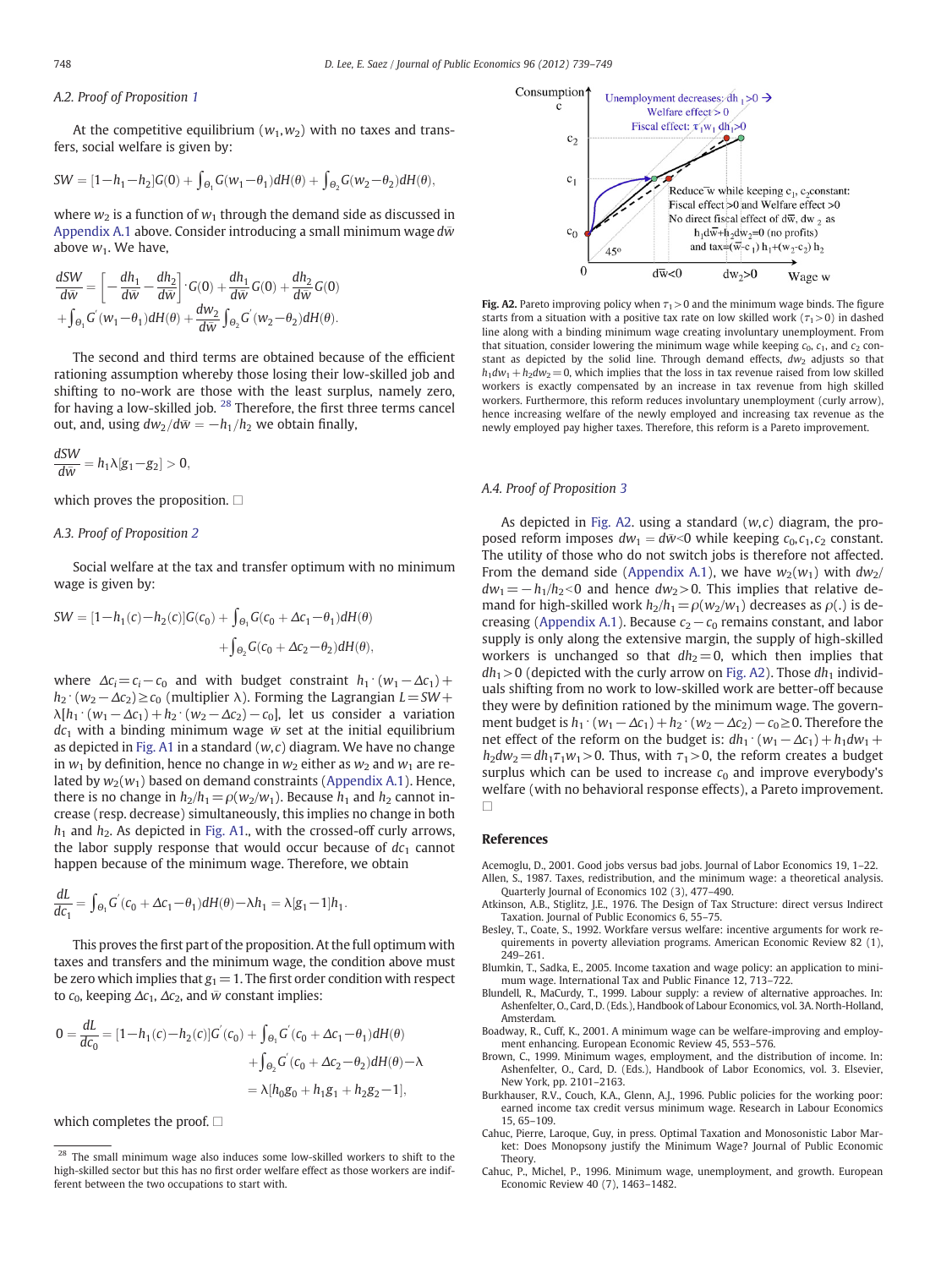#### <span id="page-9-0"></span>A.2. Proof of Proposition [1](#page-3-0)

At the competitive equilibrium  $(w_1, w_2)$  with no taxes and transfers, social welfare is given by:

$$
SW = [1-h_1-h_2]G(0) + \int_{\Theta_1} G(w_1-\theta_1)dH(\theta) + \int_{\Theta_2} G(w_2-\theta_2)dH(\theta),
$$

where  $w_2$  is a function of  $w_1$  through the demand side as discussed in [Appendix A.1](#page-8-0) above. Consider introducing a small minimum wage  $d\bar{w}$ above  $w_1$ . We have,

$$
\frac{dSW}{d\bar{w}} = \left[ -\frac{dh_1}{d\bar{w}} - \frac{dh_2}{d\bar{w}} \right] \cdot G(0) + \frac{dh_1}{d\bar{w}} G(0) + \frac{dh_2}{d\bar{w}} G(0) \n+ \int_{\theta_1} G^{'}(w_1 - \theta_1) dH(\theta) + \frac{dw_2}{d\bar{w}} \int_{\theta_2} G^{'}(w_2 - \theta_2) dH(\theta).
$$

The second and third terms are obtained because of the efficient rationing assumption whereby those losing their low-skilled job and shifting to no-work are those with the least surplus, namely zero, for having a low-skilled job. <sup>28</sup> Therefore, the first three terms cancel out, and, using  $dw_2/d\bar{w} = -h_1/h_2$  we obtain finally,

$$
\frac{dSW}{d\bar{w}}=h_1\lambda[g_1-g_2]>0,
$$

which proves the proposition. □

#### A.3. Proof of Proposition [2](#page-4-0)

Social welfare at the tax and transfer optimum with no minimum wage is given by:

$$
\begin{array}{l} SW=[1-h_1(c)-h_2(c)]G(c_0)+\int_{\Theta_1}G(c_0+\Delta c_1-\theta_1)dH(\theta)\\ \\ +\int_{\Theta_2}G(c_0+\Delta c_2-\theta_2)dH(\theta), \end{array}
$$

where  $\Delta c_i = c_i - c_0$  and with budget constraint  $h_1 \cdot (w_1 - \Delta c_1)$  +  $h_2$   $(w_2 - \Delta c_2) \ge c_0$  (multiplier  $\lambda$ ). Forming the Lagrangian  $L = SW +$  $\lambda[h_1 \cdot (w_1 - \Delta c_1) + h_2 \cdot (w_2 - \Delta c_2) - c_0]$ , let us consider a variation  $dc_1$  with a binding minimum wage  $\bar{w}$  set at the initial equilibrium as depicted in [Fig. A1](#page-7-0) in a standard  $(w, c)$  diagram. We have no change in  $w_1$  by definition, hence no change in  $w_2$  either as  $w_2$  and  $w_1$  are related by  $w_2(w_1)$  based on demand constraints [\(Appendix A.1](#page-8-0)). Hence, there is no change in  $h_2/h_1 = \rho(w_2/w_1)$ . Because  $h_1$  and  $h_2$  cannot increase (resp. decrease) simultaneously, this implies no change in both  $h_1$  and  $h_2$ . As depicted in [Fig. A1](#page-7-0)., with the crossed-off curly arrows, the labor supply response that would occur because of  $dc_1$  cannot happen because of the minimum wage. Therefore, we obtain

$$
\frac{dL}{dc_1} = \int_{\Theta_1} G^{'}(c_0 + \Delta c_1 - \theta_1) dH(\theta) - \lambda h_1 = \lambda [g_1 - 1]h_1.
$$

This proves the first part of the proposition. At the full optimum with taxes and transfers and the minimum wage, the condition above must be zero which implies that  $g_1=1$ . The first order condition with respect to  $c_0$ , keeping  $\Delta c_1$ ,  $\Delta c_2$ , and  $\bar{w}$  constant implies:

$$
0 = \frac{dL}{dc_0} = [1 - h_1(c) - h_2(c)]G^{'}(c_0) + \int_{\theta_1} G^{'}(c_0 + \Delta c_1 - \theta_1) dH(\theta) + \int_{\theta_2} G^{'}(c_0 + \Delta c_2 - \theta_2) dH(\theta) - \lambda = \lambda [h_0 g_0 + h_1 g_1 + h_2 g_2 - 1],
$$

which completes the proof. □



Fig. A2. Pareto improving policy when  $\tau_1>0$  and the minimum wage binds. The figure starts from a situation with a positive tax rate on low skilled work ( $\tau_1 > 0$ ) in dashed line along with a binding minimum wage creating involuntary unemployment. From that situation, consider lowering the minimum wage while keeping  $c_0$ ,  $c_1$ , and  $c_2$  constant as depicted by the solid line. Through demand effects,  $dw_2$  adjusts so that  $h_1dw_1+h_2dw_2=0$ , which implies that the loss in tax revenue raised from low skilled workers is exactly compensated by an increase in tax revenue from high skilled workers. Furthermore, this reform reduces involuntary unemployment (curly arrow), hence increasing welfare of the newly employed and increasing tax revenue as the newly employed pay higher taxes. Therefore, this reform is a Pareto improvement.

#### A.4. Proof of Proposition [3](#page-5-0)

As depicted in Fig. A2. using a standard  $(w, c)$  diagram, the proposed reform imposes  $dw_1 = d\bar{w}$ <0 while keeping  $c_0, c_1, c_2$  constant. The utility of those who do not switch jobs is therefore not affected. From the demand side [\(Appendix A.1\)](#page-8-0), we have  $w_2(w_1)$  with  $dw_2$ /  $dw_1=-h_1/h_2$  and hence  $dw_2>0$ . This implies that relative demand for high-skilled work  $h_2/h_1 = \rho(w_2/w_1)$  decreases as  $\rho(.)$  is de-creasing ([Appendix A.1\)](#page-8-0). Because  $c_2-c_0$  remains constant, and labor supply is only along the extensive margin, the supply of high-skilled workers is unchanged so that  $dh_2=0$ , which then implies that  $dh_1>0$  (depicted with the curly arrow on Fig. A2). Those  $dh_1$  individuals shifting from no work to low-skilled work are better-off because they were by definition rationed by the minimum wage. The government budget is  $h_1 \cdot (w_1 - \Delta c_1) + h_2 \cdot (w_2 - \Delta c_2) - c_0 \ge 0$ . Therefore the net effect of the reform on the budget is:  $dh_1 \cdot (w_1 - \Delta c_1) + h_1 dw_1 +$  $h_2dw_2 = dh_1\tau_1w_1 > 0$ . Thus, with  $\tau_1 > 0$ , the reform creates a budget surplus which can be used to increase  $c_0$  and improve everybody's welfare (with no behavioral response effects), a Pareto improvement. □

#### References

Acemoglu, D., 2001. Good jobs versus bad jobs. Journal of Labor Economics 19, 1–22.

- Allen, S., 1987. Taxes, redistribution, and the minimum wage: a theoretical analysis. Quarterly Journal of Economics 102 (3), 477–490.
- Atkinson, A.B., Stiglitz, J.E., 1976. The Design of Tax Structure: direct versus Indirect Taxation. Journal of Public Economics 6, 55–75.
- Besley, T., Coate, S., 1992. Workfare versus welfare: incentive arguments for work requirements in poverty alleviation programs. American Economic Review 82 (1), 249–261.
- Blumkin, T., Sadka, E., 2005. Income taxation and wage policy: an application to minimum wage. International Tax and Public Finance 12, 713–722.
- Blundell, R., MaCurdy, T., 1999. Labour supply: a review of alternative approaches. In: Ashenfelter, O., Card, D. (Eds.), Handbook of Labour Economics, vol. 3A. North-Holland, Amsterdam.
- Boadway, R., Cuff, K., 2001. A minimum wage can be welfare-improving and employment enhancing. European Economic Review 45, 553–576.
- Brown, C., 1999. Minimum wages, employment, and the distribution of income. In: Ashenfelter, O., Card, D. (Eds.), Handbook of Labor Economics, vol. 3. Elsevier, New York, pp. 2101–2163.
- Burkhauser, R.V., Couch, K.A., Glenn, A.J., 1996. Public policies for the working poor: earned income tax credit versus minimum wage. Research in Labour Economics 15, 65–109.
- Cahuc, Pierre, Laroque, Guy, in press. Optimal Taxation and Monosonistic Labor Market: Does Monopsony justify the Minimum Wage? Journal of Public Economic Theory.
- Cahuc, P., Michel, P., 1996. Minimum wage, unemployment, and growth. European Economic Review 40 (7), 1463–1482.

<sup>&</sup>lt;sup>28</sup> The small minimum wage also induces some low-skilled workers to shift to the high-skilled sector but this has no first order welfare effect as those workers are indifferent between the two occupations to start with.